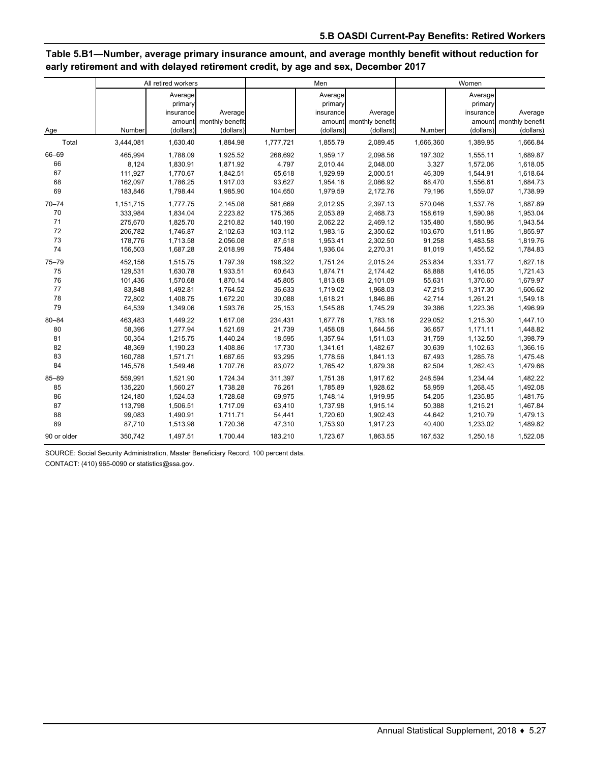# **Table 5.B1—Number, average primary insurance amount, and average monthly benefit without reduction for early retirement and with delayed retirement credit, by age and sex, December 2017**

|             |           | All retired workers             |                        |           | Men                             |                 | Women     |                                 |                 |
|-------------|-----------|---------------------------------|------------------------|-----------|---------------------------------|-----------------|-----------|---------------------------------|-----------------|
|             |           | Average<br>primary<br>insurance | Average                |           | Average<br>primary<br>insurance | Average         |           | Average<br>primary<br>insurance | Average         |
|             |           |                                 | amount monthly benefit |           | amount                          | monthly benefit |           | amount                          | monthly benefit |
| Age         | Number    | (dollars)                       | (dollars)              | Number    | (dollars)                       | (dollars)       | Number    | (dollars)                       | (dollars)       |
| Total       | 3,444,081 | 1,630.40                        | 1,884.98               | 1,777,721 | 1,855.79                        | 2,089.45        | 1,666,360 | 1,389.95                        | 1,666.84        |
| 66-69       | 465,994   | 1,788.09                        | 1,925.52               | 268,692   | 1,959.17                        | 2,098.56        | 197,302   | 1,555.11                        | 1,689.87        |
| 66          | 8,124     | 1,830.91                        | 1,871.92               | 4,797     | 2,010.44                        | 2,048.00        | 3,327     | 1,572.06                        | 1,618.05        |
| 67          | 111,927   | 1,770.67                        | 1,842.51               | 65,618    | 1,929.99                        | 2,000.51        | 46,309    | 1,544.91                        | 1,618.64        |
| 68          | 162,097   | 1,786.25                        | 1,917.03               | 93,627    | 1,954.18                        | 2,086.92        | 68,470    | 1,556.61                        | 1,684.73        |
| 69          | 183,846   | 1,798.44                        | 1,985.90               | 104,650   | 1,979.59                        | 2,172.76        | 79,196    | 1,559.07                        | 1,738.99        |
| $70 - 74$   | 1,151,715 | 1,777.75                        | 2,145.08               | 581,669   | 2,012.95                        | 2,397.13        | 570,046   | 1,537.76                        | 1,887.89        |
| 70          | 333,984   | 1,834.04                        | 2,223.82               | 175,365   | 2,053.89                        | 2,468.73        | 158,619   | 1,590.98                        | 1,953.04        |
| 71          | 275,670   | 1,825.70                        | 2,210.82               | 140,190   | 2,062.22                        | 2,469.12        | 135,480   | 1,580.96                        | 1,943.54        |
| 72          | 206,782   | 1,746.87                        | 2,102.63               | 103,112   | 1,983.16                        | 2,350.62        | 103,670   | 1,511.86                        | 1,855.97        |
| 73          | 178,776   | 1,713.58                        | 2,056.08               | 87,518    | 1,953.41                        | 2,302.50        | 91,258    | 1,483.58                        | 1,819.76        |
| 74          | 156,503   | 1,687.28                        | 2,018.99               | 75,484    | 1,936.04                        | 2,270.31        | 81,019    | 1,455.52                        | 1,784.83        |
| $75 - 79$   | 452,156   | 1,515.75                        | 1,797.39               | 198,322   | 1,751.24                        | 2,015.24        | 253,834   | 1,331.77                        | 1,627.18        |
| 75          | 129,531   | 1,630.78                        | 1,933.51               | 60,643    | 1,874.71                        | 2,174.42        | 68,888    | 1,416.05                        | 1,721.43        |
| 76          | 101,436   | 1,570.68                        | 1,870.14               | 45,805    | 1,813.68                        | 2,101.09        | 55,631    | 1,370.60                        | 1,679.97        |
| 77          | 83,848    | 1,492.81                        | 1,764.52               | 36,633    | 1,719.02                        | 1,968.03        | 47,215    | 1,317.30                        | 1,606.62        |
| 78          | 72,802    | 1,408.75                        | 1,672.20               | 30,088    | 1,618.21                        | 1,846.86        | 42,714    | 1,261.21                        | 1,549.18        |
| 79          | 64,539    | 1,349.06                        | 1,593.76               | 25,153    | 1,545.88                        | 1,745.29        | 39,386    | 1,223.36                        | 1,496.99        |
| $80 - 84$   | 463,483   | 1,449.22                        | 1,617.08               | 234,431   | 1,677.78                        | 1,783.16        | 229,052   | 1,215.30                        | 1,447.10        |
| 80          | 58,396    | 1,277.94                        | 1,521.69               | 21,739    | 1,458.08                        | 1,644.56        | 36,657    | 1,171.11                        | 1,448.82        |
| 81          | 50,354    | 1,215.75                        | 1,440.24               | 18,595    | 1,357.94                        | 1,511.03        | 31,759    | 1,132.50                        | 1,398.79        |
| 82          | 48,369    | 1,190.23                        | 1,408.86               | 17,730    | 1,341.61                        | 1,482.67        | 30,639    | 1,102.63                        | 1,366.16        |
| 83          | 160,788   | 1,571.71                        | 1,687.65               | 93,295    | 1,778.56                        | 1,841.13        | 67,493    | 1,285.78                        | 1,475.48        |
| 84          | 145,576   | 1,549.46                        | 1,707.76               | 83,072    | 1,765.42                        | 1,879.38        | 62,504    | 1,262.43                        | 1,479.66        |
| 85-89       | 559,991   | 1,521.90                        | 1,724.34               | 311,397   | 1,751.38                        | 1,917.62        | 248,594   | 1,234.44                        | 1,482.22        |
| 85          | 135,220   | 1,560.27                        | 1,738.28               | 76,261    | 1,785.89                        | 1,928.62        | 58,959    | 1,268.45                        | 1,492.08        |
| 86          | 124,180   | 1,524.53                        | 1,728.68               | 69,975    | 1,748.14                        | 1,919.95        | 54,205    | 1,235.85                        | 1,481.76        |
| 87          | 113,798   | 1,506.51                        | 1,717.09               | 63,410    | 1,737.98                        | 1,915.14        | 50,388    | 1,215.21                        | 1,467.84        |
| 88          | 99,083    | 1,490.91                        | 1,711.71               | 54,441    | 1,720.60                        | 1,902.43        | 44,642    | 1,210.79                        | 1,479.13        |
| 89          | 87,710    | 1,513.98                        | 1,720.36               | 47,310    | 1,753.90                        | 1,917.23        | 40,400    | 1,233.02                        | 1,489.82        |
| 90 or older | 350,742   | 1,497.51                        | 1,700.44               | 183,210   | 1,723.67                        | 1,863.55        | 167,532   | 1,250.18                        | 1,522.08        |

SOURCE: Social Security Administration, Master Beneficiary Record, 100 percent data.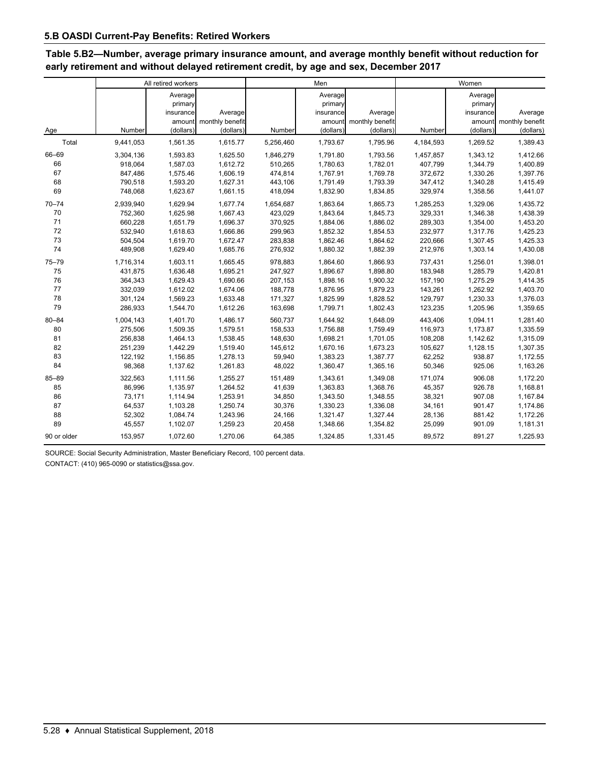# **Table 5.B2—Number, average primary insurance amount, and average monthly benefit without reduction for early retirement and without delayed retirement credit, by age and sex, December 2017**

|             |           | All retired workers |                 |           | Men       |                 | Women     |           |                 |
|-------------|-----------|---------------------|-----------------|-----------|-----------|-----------------|-----------|-----------|-----------------|
|             |           | Average             |                 |           | Average   |                 |           | Average   |                 |
|             |           | primary             |                 |           | primary   |                 |           | primary   |                 |
|             |           | insurance           | Average         |           | insurance | Average         |           | insurance | Average         |
|             |           | amount              | monthly benefit |           | amount    | monthly benefit |           | amount    | monthly benefit |
| Age         | Number    | (dollars)           | (dollars)       | Number    | (dollars) | (dollars)       | Number    | (dollars) | (dollars)       |
| Total       | 9,441,053 | 1,561.35            | 1,615.77        | 5,256,460 | 1,793.67  | 1,795.96        | 4,184,593 | 1,269.52  | 1,389.43        |
| 66-69       | 3,304,136 | 1,593.83            | 1,625.50        | 1,846,279 | 1,791.80  | 1,793.56        | 1,457,857 | 1,343.12  | 1,412.66        |
| 66          | 918,064   | 1,587.03            | 1,612.72        | 510,265   | 1,780.63  | 1,782.01        | 407,799   | 1,344.79  | 1,400.89        |
| 67          | 847,486   | 1,575.46            | 1,606.19        | 474,814   | 1,767.91  | 1,769.78        | 372,672   | 1,330.26  | 1,397.76        |
| 68          | 790,518   | 1,593.20            | 1,627.31        | 443,106   | 1,791.49  | 1,793.39        | 347,412   | 1,340.28  | 1,415.49        |
| 69          | 748,068   | 1,623.67            | 1,661.15        | 418,094   | 1,832.90  | 1,834.85        | 329,974   | 1,358.56  | 1,441.07        |
| $70 - 74$   | 2,939,940 | 1,629.94            | 1,677.74        | 1,654,687 | 1,863.64  | 1,865.73        | 1,285,253 | 1,329.06  | 1,435.72        |
| 70          | 752,360   | 1,625.98            | 1,667.43        | 423,029   | 1,843.64  | 1,845.73        | 329,331   | 1,346.38  | 1,438.39        |
| 71          | 660,228   | 1,651.79            | 1,696.37        | 370,925   | 1,884.06  | 1,886.02        | 289,303   | 1,354.00  | 1,453.20        |
| 72          | 532,940   | 1,618.63            | 1,666.86        | 299,963   | 1,852.32  | 1,854.53        | 232,977   | 1,317.76  | 1,425.23        |
| 73          | 504,504   | 1,619.70            | 1,672.47        | 283,838   | 1,862.46  | 1,864.62        | 220,666   | 1,307.45  | 1,425.33        |
| 74          | 489,908   | 1,629.40            | 1,685.76        | 276,932   | 1,880.32  | 1,882.39        | 212,976   | 1,303.14  | 1,430.08        |
| $75 - 79$   | 1,716,314 | 1,603.11            | 1,665.45        | 978,883   | 1,864.60  | 1,866.93        | 737,431   | 1,256.01  | 1,398.01        |
| 75          | 431,875   | 1,636.48            | 1,695.21        | 247,927   | 1,896.67  | 1,898.80        | 183,948   | 1,285.79  | 1,420.81        |
| 76          | 364,343   | 1,629.43            | 1,690.66        | 207,153   | 1,898.16  | 1,900.32        | 157,190   | 1,275.29  | 1,414.35        |
| 77          | 332,039   | 1,612.02            | 1,674.06        | 188,778   | 1,876.95  | 1,879.23        | 143,261   | 1,262.92  | 1,403.70        |
| 78          | 301,124   | 1,569.23            | 1,633.48        | 171,327   | 1,825.99  | 1,828.52        | 129,797   | 1,230.33  | 1,376.03        |
| 79          | 286,933   | 1,544.70            | 1,612.26        | 163,698   | 1,799.71  | 1,802.43        | 123,235   | 1,205.96  | 1,359.65        |
| $80 - 84$   | 1,004,143 | 1,401.70            | 1,486.17        | 560,737   | 1,644.92  | 1,648.09        | 443,406   | 1,094.11  | 1,281.40        |
| 80          | 275.506   | 1,509.35            | 1,579.51        | 158,533   | 1,756.88  | 1,759.49        | 116,973   | 1,173.87  | 1,335.59        |
| 81          | 256,838   | 1,464.13            | 1,538.45        | 148,630   | 1,698.21  | 1,701.05        | 108,208   | 1,142.62  | 1,315.09        |
| 82          | 251,239   | 1,442.29            | 1,519.40        | 145,612   | 1,670.16  | 1,673.23        | 105,627   | 1,128.15  | 1,307.35        |
| 83          | 122,192   | 1,156.85            | 1,278.13        | 59,940    | 1,383.23  | 1,387.77        | 62,252    | 938.87    | 1,172.55        |
| 84          | 98,368    | 1,137.62            | 1,261.83        | 48,022    | 1,360.47  | 1,365.16        | 50,346    | 925.06    | 1,163.26        |
| 85-89       | 322,563   | 1,111.56            | 1,255.27        | 151,489   | 1,343.61  | 1,349.08        | 171,074   | 906.08    | 1,172.20        |
| 85          | 86,996    | 1,135.97            | 1,264.52        | 41,639    | 1,363.83  | 1,368.76        | 45,357    | 926.78    | 1,168.81        |
| 86          | 73,171    | 1,114.94            | 1,253.91        | 34,850    | 1,343.50  | 1,348.55        | 38,321    | 907.08    | 1,167.84        |
| 87          | 64,537    | 1,103.28            | 1,250.74        | 30,376    | 1,330.23  | 1,336.08        | 34,161    | 901.47    | 1,174.86        |
| 88          | 52,302    | 1,084.74            | 1,243.96        | 24,166    | 1,321.47  | 1,327.44        | 28,136    | 881.42    | 1,172.26        |
| 89          | 45,557    | 1,102.07            | 1,259.23        | 20,458    | 1,348.66  | 1,354.82        | 25,099    | 901.09    | 1,181.31        |
| 90 or older | 153,957   | 1,072.60            | 1,270.06        | 64,385    | 1,324.85  | 1,331.45        | 89,572    | 891.27    | 1,225.93        |

SOURCE: Social Security Administration, Master Beneficiary Record, 100 percent data.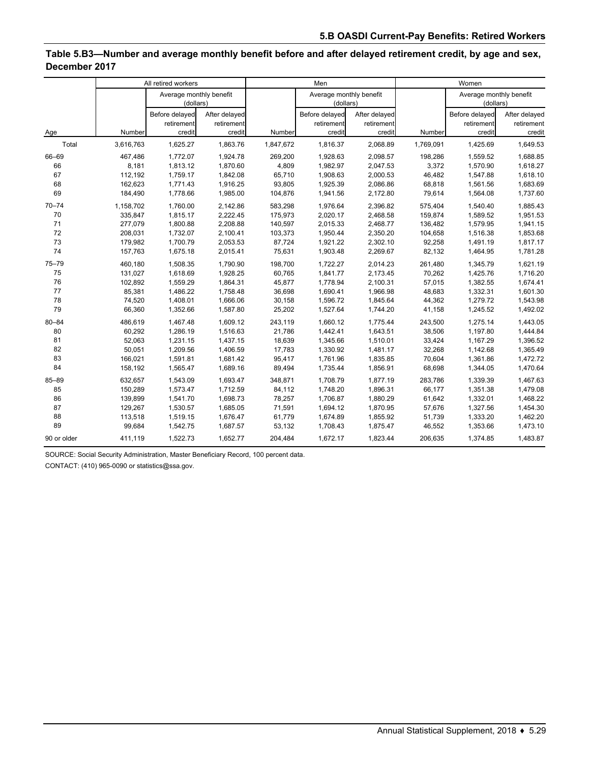## **Table 5.B3—Number and average monthly benefit before and after delayed retirement credit, by age and sex, December 2017**

|             |                  | All retired workers                    |                                       |                  | Men                                    |                                       |                  | Women                                  |                                       |
|-------------|------------------|----------------------------------------|---------------------------------------|------------------|----------------------------------------|---------------------------------------|------------------|----------------------------------------|---------------------------------------|
|             |                  | Average monthly benefit<br>(dollars)   |                                       |                  | Average monthly benefit<br>(dollars)   |                                       |                  | Average monthly benefit<br>(dollars)   |                                       |
| Age         | Number           | Before delayed<br>retirement<br>credit | After delayed<br>retirement<br>credit | Number           | Before delayed<br>retirement<br>credit | After delayed<br>retirement<br>credit | Number           | Before delayed<br>retirement<br>credit | After delayed<br>retirement<br>credit |
| Total       | 3,616,763        | 1,625.27                               | 1,863.76                              | 1,847,672        | 1,816.37                               | 2,068.89                              | 1,769,091        | 1,425.69                               | 1,649.53                              |
|             |                  |                                        |                                       |                  |                                        |                                       |                  |                                        |                                       |
| 66-69<br>66 | 467,486<br>8,181 | 1,772.07<br>1,813.12                   | 1,924.78<br>1,870.60                  | 269,200<br>4,809 | 1,928.63<br>1,982.97                   | 2,098.57<br>2,047.53                  | 198,286<br>3,372 | 1,559.52<br>1,570.90                   | 1,688.85<br>1,618.27                  |
| 67          | 112,192          | 1,759.17                               | 1,842.08                              | 65,710           | 1,908.63                               | 2,000.53                              | 46,482           | 1,547.88                               | 1,618.10                              |
| 68          | 162,623          | 1,771.43                               | 1,916.25                              | 93,805           | 1,925.39                               | 2,086.86                              | 68,818           | 1,561.56                               | 1,683.69                              |
| 69          | 184,490          | 1,778.66                               | 1,985.00                              | 104,876          | 1,941.56                               | 2,172.80                              | 79,614           | 1,564.08                               | 1,737.60                              |
|             |                  |                                        |                                       |                  |                                        |                                       |                  |                                        |                                       |
| $70 - 74$   | 1,158,702        | 1,760.00                               | 2,142.86                              | 583,298          | 1,976.64                               | 2,396.82                              | 575,404          | 1,540.40                               | 1,885.43                              |
| 70          | 335,847          | 1,815.17                               | 2,222.45                              | 175,973          | 2,020.17                               | 2,468.58                              | 159,874          | 1,589.52                               | 1,951.53                              |
| 71          | 277,079          | 1,800.88                               | 2,208.88                              | 140,597          | 2,015.33                               | 2,468.77                              | 136,482          | 1,579.95                               | 1,941.15                              |
| 72          | 208,031          | 1,732.07                               | 2,100.41                              | 103,373          | 1,950.44                               | 2,350.20                              | 104,658          | 1,516.38                               | 1,853.68                              |
| 73          | 179,982          | 1,700.79                               | 2,053.53                              | 87,724           | 1,921.22                               | 2,302.10                              | 92,258           | 1,491.19                               | 1,817.17                              |
| 74          | 157,763          | 1,675.18                               | 2,015.41                              | 75,631           | 1,903.48                               | 2,269.67                              | 82,132           | 1,464.95                               | 1,781.28                              |
| $75 - 79$   | 460,180          | 1,508.35                               | 1,790.90                              | 198,700          | 1,722.27                               | 2,014.23                              | 261,480          | 1,345.79                               | 1,621.19                              |
| 75          | 131,027          | 1,618.69                               | 1,928.25                              | 60,765           | 1,841.77                               | 2,173.45                              | 70,262           | 1,425.76                               | 1,716.20                              |
| 76          | 102,892          | 1,559.29                               | 1,864.31                              | 45,877           | 1,778.94                               | 2,100.31                              | 57,015           | 1,382.55                               | 1,674.41                              |
| 77          | 85,381           | 1,486.22                               | 1,758.48                              | 36,698           | 1,690.41                               | 1,966.98                              | 48,683           | 1,332.31                               | 1,601.30                              |
| 78          | 74,520           | 1,408.01                               | 1,666.06                              | 30,158           | 1,596.72                               | 1.845.64                              | 44,362           | 1,279.72                               | 1,543.98                              |
| 79          | 66,360           | 1,352.66                               | 1,587.80                              | 25,202           | 1,527.64                               | 1,744.20                              | 41,158           | 1,245.52                               | 1,492.02                              |
| $80 - 84$   | 486,619          | 1,467.48                               | 1,609.12                              | 243,119          | 1,660.12                               | 1,775.44                              | 243,500          | 1,275.14                               | 1,443.05                              |
| 80          | 60,292           | 1,286.19                               | 1,516.63                              | 21,786           | 1,442.41                               | 1,643.51                              | 38,506           | 1,197.80                               | 1,444.84                              |
| 81          | 52,063           | 1,231.15                               | 1,437.15                              | 18,639           | 1,345.66                               | 1,510.01                              | 33,424           | 1,167.29                               | 1,396.52                              |
| 82          | 50,051           | 1,209.56                               | 1,406.59                              | 17,783           | 1,330.92                               | 1,481.17                              | 32,268           | 1,142.68                               | 1,365.49                              |
| 83          | 166,021          | 1,591.81                               | 1,681.42                              | 95,417           | 1,761.96                               | 1,835.85                              | 70,604           | 1,361.86                               | 1,472.72                              |
| 84          | 158,192          | 1,565.47                               | 1,689.16                              | 89,494           | 1,735.44                               | 1,856.91                              | 68,698           | 1,344.05                               | 1,470.64                              |
| $85 - 89$   | 632.657          | 1.543.09                               | 1,693.47                              | 348.871          | 1.708.79                               | 1.877.19                              | 283,786          | 1,339.39                               | 1,467.63                              |
| 85          | 150,289          | 1,573.47                               | 1,712.59                              | 84,112           | 1,748.20                               | 1,896.31                              | 66,177           | 1,351.38                               | 1,479.08                              |
| 86          | 139,899          | 1,541.70                               | 1,698.73                              | 78,257           | 1,706.87                               | 1,880.29                              | 61,642           | 1,332.01                               | 1,468.22                              |
| 87          | 129,267          | 1,530.57                               | 1,685.05                              | 71,591           | 1,694.12                               | 1,870.95                              | 57,676           | 1,327.56                               | 1,454.30                              |
| 88          | 113,518          | 1,519.15                               | 1,676.47                              | 61,779           | 1,674.89                               | 1,855.92                              | 51,739           | 1,333.20                               | 1,462.20                              |
| 89          | 99,684           | 1,542.75                               | 1,687.57                              | 53,132           | 1,708.43                               | 1,875.47                              | 46,552           | 1,353.66                               | 1,473.10                              |
| 90 or older | 411,119          | 1,522.73                               | 1,652.77                              | 204,484          | 1,672.17                               | 1,823.44                              | 206,635          | 1,374.85                               | 1,483.87                              |

SOURCE: Social Security Administration, Master Beneficiary Record, 100 percent data.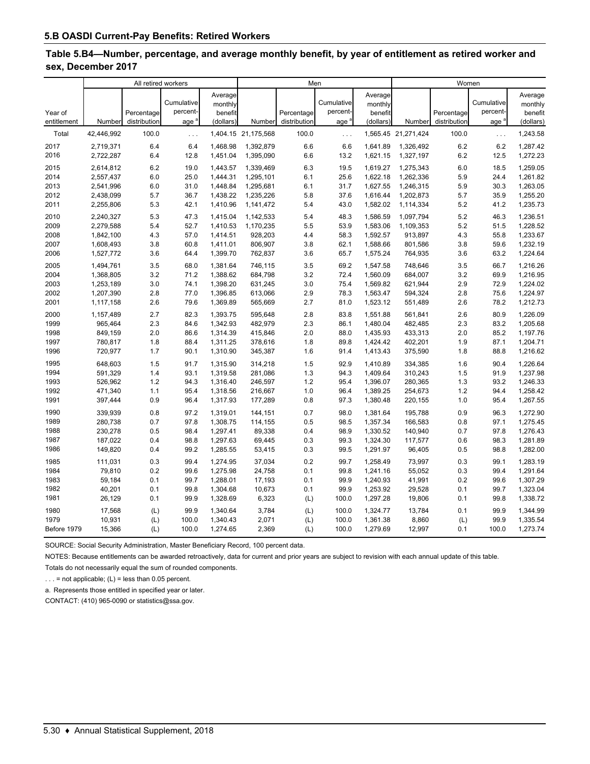#### **Table 5.B4—Number, percentage, and average monthly benefit, by year of entitlement as retired worker and sex, December 2017**

|                        |            | All retired workers        |                               |                                            | Men                 |                            |                                            |                                            | Women               |                            |                               |                                            |
|------------------------|------------|----------------------------|-------------------------------|--------------------------------------------|---------------------|----------------------------|--------------------------------------------|--------------------------------------------|---------------------|----------------------------|-------------------------------|--------------------------------------------|
| Year of<br>entitlement | Number     | Percentage<br>distribution | Cumulative<br>percent-<br>age | Average<br>monthly<br>benefit<br>(dollars) | Number              | Percentage<br>distribution | Cumulative<br>percent-<br>age <sup>s</sup> | Average<br>monthly<br>benefit<br>(dollars) | Number              | Percentage<br>distribution | Cumulative<br>percent-<br>age | Average<br>monthly<br>benefit<br>(dollars) |
| Total                  | 42,446,992 | 100.0                      | $\ldots$                      |                                            | 1,404.15 21,175,568 | 100.0                      | $\ldots$                                   |                                            | 1,565.45 21,271,424 | 100.0                      | $\ldots$                      | 1,243.58                                   |
| 2017                   | 2,719,371  | 6.4                        | 6.4                           | 1.468.98                                   | 1,392,879           | 6.6                        | 6.6                                        | 1.641.89                                   | 1,326,492           | 6.2                        | 6.2                           | 1,287.42                                   |
| 2016                   | 2,722,287  | 6.4                        | 12.8                          | 1,451.04                                   | 1,395,090           | 6.6                        | 13.2                                       | 1,621.15                                   | 1,327,197           | 6.2                        | 12.5                          | 1,272.23                                   |
| 2015                   | 2,614,812  | 6.2                        | 19.0                          | 1,443.57                                   | 1,339,469           | 6.3                        | 19.5                                       | 1,619.27                                   | 1,275,343           | 6.0                        | 18.5                          | 1,259.05                                   |
| 2014                   | 2,557,437  | 6.0                        | 25.0                          | 1,444.31                                   | 1,295,101           | 6.1                        | 25.6                                       | 1,622.18                                   | 1,262,336           | 5.9                        | 24.4                          | 1,261.82                                   |
| 2013                   | 2,541,996  | 6.0                        | 31.0                          | 1,448.84                                   | 1,295,681           | 6.1                        | 31.7                                       | 1,627.55                                   | 1,246,315           | 5.9                        | 30.3                          | 1,263.05                                   |
| 2012                   | 2,438,099  | 5.7                        | 36.7                          | 1,438.22                                   | 1,235,226           | 5.8                        | 37.6                                       | 1.616.44                                   | 1,202,873           | 5.7                        | 35.9                          | 1,255.20                                   |
| 2011                   | 2,255,806  | 5.3                        | 42.1                          | 1,410.96                                   | 1,141,472           | 5.4                        | 43.0                                       | 1,582.02                                   | 1,114,334           | 5.2                        | 41.2                          | 1,235.73                                   |
| 2010                   | 2,240,327  | 5.3                        | 47.3                          | 1,415.04                                   | 1,142,533           | 5.4                        | 48.3                                       | 1,586.59                                   | 1,097,794           | 5.2                        | 46.3                          | 1,236.51                                   |
| 2009                   | 2,279,588  | 5.4                        | 52.7                          | 1,410.53                                   | 1,170,235           | 5.5                        | 53.9                                       | 1,583.06                                   | 1,109,353           | 5.2                        | 51.5                          | 1,228.52                                   |
| 2008                   | 1,842,100  | 4.3                        | 57.0                          | 1,414.51                                   | 928,203             | 4.4                        | 58.3                                       | 1,592.57                                   | 913,897             | 4.3                        | 55.8                          | 1,233.67                                   |
| 2007                   | 1,608,493  | 3.8                        | 60.8                          | 1,411.01                                   | 806,907             | 3.8                        | 62.1                                       | 1,588.66                                   | 801,586             | 3.8                        | 59.6                          | 1,232.19                                   |
| 2006                   | 1,527,772  | 3.6                        | 64.4                          | 1,399.70                                   | 762,837             | 3.6                        | 65.7                                       | 1,575.24                                   | 764,935             | 3.6                        | 63.2                          | 1,224.64                                   |
| 2005                   | 1,494,761  | 3.5                        | 68.0                          | 1,381.64                                   | 746,115             | 3.5                        | 69.2                                       | 1.547.58                                   | 748,646             | 3.5                        | 66.7                          | 1,216.26                                   |
| 2004                   | 1,368,805  | 3.2                        | 71.2                          | 1,388.62                                   | 684,798             | 3.2                        | 72.4                                       | 1,560.09                                   | 684,007             | 3.2                        | 69.9                          | 1,216.95                                   |
| 2003                   | 1,253,189  | 3.0                        | 74.1                          | 1,398.20                                   | 631,245             | 3.0                        | 75.4                                       | 1,569.82                                   | 621,944             | 2.9                        | 72.9                          | 1,224.02                                   |
| 2002                   | 1,207,390  | 2.8                        | 77.0                          | 1,396.85                                   | 613,066             | 2.9                        | 78.3                                       | 1,563.47                                   | 594,324             | 2.8                        | 75.6                          | 1,224.97                                   |
| 2001                   | 1,117,158  | 2.6                        | 79.6                          | 1,369.89                                   | 565,669             | 2.7                        | 81.0                                       | 1,523.12                                   | 551,489             | 2.6                        | 78.2                          | 1,212.73                                   |
| 2000                   | 1,157,489  | 2.7                        | 82.3                          | 1,393.75                                   | 595,648             | 2.8                        | 83.8                                       | 1,551.88                                   | 561,841             | 2.6                        | 80.9                          | 1,226.09                                   |
| 1999                   | 965,464    | 2.3                        | 84.6                          | 1.342.93                                   | 482,979             | 2.3                        | 86.1                                       | 1.480.04                                   | 482,485             | 2.3                        | 83.2                          | 1,205.68                                   |
| 1998                   | 849,159    | 2.0                        | 86.6                          | 1,314.39                                   | 415,846             | 2.0                        | 88.0                                       | 1,435.93                                   | 433,313             | 2.0                        | 85.2                          | 1,197.76                                   |
| 1997                   | 780,817    | 1.8                        | 88.4                          | 1,311.25                                   | 378,616             | 1.8                        | 89.8                                       | 1,424.42                                   | 402,201             | 1.9                        | 87.1                          | 1,204.71                                   |
| 1996                   | 720,977    | 1.7                        | 90.1                          | 1,310.90                                   | 345,387             | 1.6                        | 91.4                                       | 1,413.43                                   | 375,590             | 1.8                        | 88.8                          | 1,216.62                                   |
| 1995                   | 648,603    | 1.5                        | 91.7                          | 1,315.90                                   | 314,218             | 1.5                        | 92.9                                       | 1,410.89                                   | 334,385             | 1.6                        | 90.4                          | 1,226.64                                   |
| 1994                   | 591,329    | 1.4                        | 93.1                          | 1,319.58                                   | 281,086             | 1.3                        | 94.3                                       | 1,409.64                                   | 310,243             | 1.5                        | 91.9                          | 1,237.98                                   |
| 1993                   | 526,962    | 1.2                        | 94.3                          | 1,316.40                                   | 246,597             | 1.2                        | 95.4                                       | 1,396.07                                   | 280,365             | 1.3                        | 93.2                          | 1,246.33                                   |
| 1992                   | 471,340    | 1.1                        | 95.4                          | 1,318.56                                   | 216,667             | 1.0                        | 96.4                                       | 1,389.25                                   | 254,673             | 1.2                        | 94.4                          | 1,258.42                                   |
| 1991                   | 397,444    | 0.9                        | 96.4                          | 1,317.93                                   | 177,289             | 0.8                        | 97.3                                       | 1,380.48                                   | 220,155             | 1.0                        | 95.4                          | 1,267.55                                   |
| 1990                   | 339,939    | 0.8                        | 97.2                          | 1,319.01                                   | 144,151             | 0.7                        | 98.0                                       | 1,381.64                                   | 195,788             | 0.9                        | 96.3                          | 1,272.90                                   |
| 1989                   | 280,738    | 0.7                        | 97.8                          | 1,308.75                                   | 114,155             | 0.5                        | 98.5                                       | 1,357.34                                   | 166,583             | 0.8                        | 97.1                          | 1,275.45                                   |
| 1988                   | 230,278    | 0.5                        | 98.4                          | 1,297.41                                   | 89,338              | 0.4                        | 98.9                                       | 1,330.52                                   | 140,940             | 0.7                        | 97.8                          | 1,276.43                                   |
| 1987                   | 187,022    | 0.4                        | 98.8                          | 1,297.63                                   | 69,445              | 0.3                        | 99.3                                       | 1,324.30                                   | 117,577             | 0.6                        | 98.3                          | 1,281.89                                   |
| 1986                   | 149,820    | 0.4                        | 99.2                          | 1,285.55                                   | 53,415              | 0.3                        | 99.5                                       | 1,291.97                                   | 96,405              | 0.5                        | 98.8                          | 1,282.00                                   |
| 1985                   | 111,031    | 0.3                        | 99.4                          | 1,274.95                                   | 37,034              | 0.2                        | 99.7                                       | 1,258.49                                   | 73,997              | 0.3                        | 99.1                          | 1,283.19                                   |
| 1984                   | 79,810     | 0.2                        | 99.6                          | 1,275.98                                   | 24,758              | 0.1                        | 99.8                                       | 1,241.16                                   | 55,052              | 0.3                        | 99.4                          | 1,291.64                                   |
| 1983                   | 59,184     | 0.1                        | 99.7                          | 1,288.01                                   | 17,193              | 0.1                        | 99.9                                       | 1,240.93                                   | 41,991              | 0.2                        | 99.6                          | 1,307.29                                   |
| 1982                   | 40,201     | 0.1                        | 99.8                          | 1,304.68                                   | 10,673              | 0.1                        | 99.9                                       | 1,253.92                                   | 29,528              | 0.1                        | 99.7                          | 1,323.04                                   |
| 1981                   | 26,129     | 0.1                        | 99.9                          | 1,328.69                                   | 6,323               | (L)                        | 100.0                                      | 1,297.28                                   | 19,806              | 0.1                        | 99.8                          | 1,338.72                                   |
| 1980                   | 17,568     | (L)                        | 99.9                          | 1,340.64                                   | 3,784               | (L)                        | 100.0                                      | 1,324.77                                   | 13,784              | 0.1                        | 99.9                          | 1,344.99                                   |
| 1979                   | 10,931     | (L)                        | 100.0                         | 1,340.43                                   | 2,071               | (L)                        | 100.0                                      | 1,361.38                                   | 8,860               | (L)                        | 99.9                          | 1,335.54                                   |
| Before 1979            | 15,366     | (L)                        | 100.0                         | 1,274.65                                   | 2,369               | (L)                        | 100.0                                      | 1,279.69                                   | 12,997              | 0.1                        | 100.0                         | 1,273.74                                   |

SOURCE: Social Security Administration, Master Beneficiary Record, 100 percent data.

NOTES: Because entitlements can be awarded retroactively, data for current and prior years are subject to revision with each annual update of this table.

Totals do not necessarily equal the sum of rounded components.

 $\ldots$  = not applicable; (L) = less than 0.05 percent.

a. Represents those entitled in specified year or later.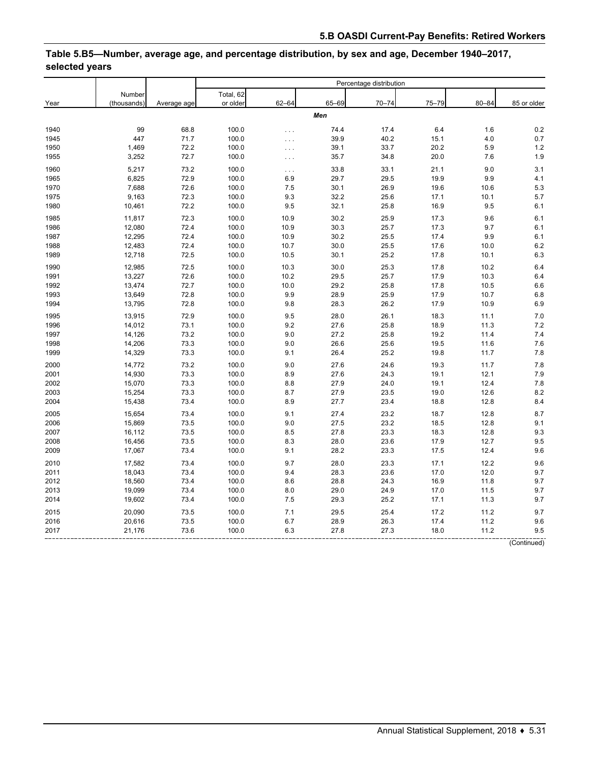# **Table 5.B5—Number, average age, and percentage distribution, by sex and age, December 1940–2017, selected years**

|              |                |             | Percentage distribution |                      |       |           |              |           |             |
|--------------|----------------|-------------|-------------------------|----------------------|-------|-----------|--------------|-----------|-------------|
|              | Number         |             | Total, 62               |                      |       |           |              |           |             |
| Year         | (thousands)    | Average age | or older                | $62 - 64$            | 65-69 | $70 - 74$ | $75 - 79$    | $80 - 84$ | 85 or older |
|              |                |             |                         |                      | Men   |           |              |           |             |
| 1940         | 99             | 68.8        | 100.0                   |                      | 74.4  | 17.4      | 6.4          | 1.6       | 0.2         |
| 1945         | 447            | 71.7        | 100.0                   | $\cdots$<br>$\ldots$ | 39.9  | 40.2      | 15.1         | 4.0       | 0.7         |
| 1950         | 1,469          | 72.2        | 100.0                   | $\cdots$             | 39.1  | 33.7      | 20.2         | 5.9       | 1.2         |
| 1955         | 3,252          | 72.7        | 100.0                   | $\ldots$             | 35.7  | 34.8      | 20.0         | 7.6       | 1.9         |
|              |                | 73.2        |                         |                      | 33.8  | 33.1      |              | 9.0       | 3.1         |
| 1960         | 5,217<br>6,825 | 72.9        | 100.0<br>100.0          | $\ldots$<br>6.9      | 29.7  | 29.5      | 21.1<br>19.9 | 9.9       | 4.1         |
| 1965<br>1970 | 7,688          | 72.6        | 100.0                   | 7.5                  | 30.1  | 26.9      | 19.6         | 10.6      | 5.3         |
|              |                |             |                         |                      |       |           |              |           |             |
| 1975         | 9,163          | 72.3        | 100.0                   | 9.3                  | 32.2  | 25.6      | 17.1         | 10.1      | 5.7         |
| 1980         | 10,461         | 72.2        | 100.0                   | 9.5                  | 32.1  | 25.8      | 16.9         | 9.5       | 6.1         |
| 1985         | 11,817         | 72.3        | 100.0                   | 10.9                 | 30.2  | 25.9      | 17.3         | 9.6       | 6.1         |
| 1986         | 12,080         | 72.4        | 100.0                   | 10.9                 | 30.3  | 25.7      | 17.3         | 9.7       | 6.1         |
| 1987         | 12,295         | 72.4        | 100.0                   | 10.9                 | 30.2  | 25.5      | 17.4         | 9.9       | 6.1         |
| 1988         | 12,483         | 72.4        | 100.0                   | 10.7                 | 30.0  | 25.5      | 17.6         | 10.0      | 6.2         |
| 1989         | 12,718         | 72.5        | 100.0                   | 10.5                 | 30.1  | 25.2      | 17.8         | 10.1      | 6.3         |
| 1990         | 12,985         | 72.5        | 100.0                   | 10.3                 | 30.0  | 25.3      | 17.8         | 10.2      | 6.4         |
| 1991         | 13,227         | 72.6        | 100.0                   | 10.2                 | 29.5  | 25.7      | 17.9         | 10.3      | 6.4         |
| 1992         | 13,474         | 72.7        | 100.0                   | 10.0                 | 29.2  | 25.8      | 17.8         | 10.5      | 6.6         |
| 1993         | 13,649         | 72.8        | 100.0                   | 9.9                  | 28.9  | 25.9      | 17.9         | 10.7      | 6.8         |
| 1994         | 13,795         | 72.8        | 100.0                   | 9.8                  | 28.3  | 26.2      | 17.9         | 10.9      | 6.9         |
| 1995         | 13,915         | 72.9        | 100.0                   | 9.5                  | 28.0  | 26.1      | 18.3         | 11.1      | 7.0         |
| 1996         | 14,012         | 73.1        | 100.0                   | 9.2                  | 27.6  | 25.8      | 18.9         | 11.3      | 7.2         |
| 1997         | 14,126         | 73.2        | 100.0                   | 9.0                  | 27.2  | 25.8      | 19.2         | 11.4      | 7.4         |
| 1998         | 14,206         | 73.3        | 100.0                   | 9.0                  | 26.6  | 25.6      | 19.5         | 11.6      | 7.6         |
| 1999         | 14,329         | 73.3        | 100.0                   | 9.1                  | 26.4  | 25.2      | 19.8         | 11.7      | 7.8         |
|              |                |             |                         |                      |       |           |              |           |             |
| 2000         | 14,772         | 73.2        | 100.0                   | 9.0                  | 27.6  | 24.6      | 19.3         | 11.7      | 7.8         |
| 2001         | 14,930         | 73.3        | 100.0                   | 8.9                  | 27.6  | 24.3      | 19.1         | 12.1      | 7.9         |
| 2002         | 15,070         | 73.3        | 100.0                   | 8.8                  | 27.9  | 24.0      | 19.1         | 12.4      | 7.8         |
| 2003         | 15,254         | 73.3        | 100.0                   | 8.7                  | 27.9  | 23.5      | 19.0         | 12.6      | 8.2         |
| 2004         | 15,438         | 73.4        | 100.0                   | 8.9                  | 27.7  | 23.4      | 18.8         | 12.8      | 8.4         |
| 2005         | 15,654         | 73.4        | 100.0                   | 9.1                  | 27.4  | 23.2      | 18.7         | 12.8      | 8.7         |
| 2006         | 15,869         | 73.5        | 100.0                   | 9.0                  | 27.5  | 23.2      | 18.5         | 12.8      | 9.1         |
| 2007         | 16,112         | 73.5        | 100.0                   | 8.5                  | 27.8  | 23.3      | 18.3         | 12.8      | 9.3         |
| 2008         | 16,456         | 73.5        | 100.0                   | 8.3                  | 28.0  | 23.6      | 17.9         | 12.7      | 9.5         |
| 2009         | 17,067         | 73.4        | 100.0                   | 9.1                  | 28.2  | 23.3      | 17.5         | 12.4      | 9.6         |
| 2010         | 17,582         | 73.4        | 100.0                   | 9.7                  | 28.0  | 23.3      | 17.1         | 12.2      | 9.6         |
| 2011         | 18,043         | 73.4        | 100.0                   | 9.4                  | 28.3  | 23.6      | 17.0         | 12.0      | 9.7         |
| 2012         | 18,560         | 73.4        | 100.0                   | 8.6                  | 28.8  | 24.3      | 16.9         | 11.8      | 9.7         |
| 2013         | 19,099         | 73.4        | 100.0                   | 8.0                  | 29.0  | 24.9      | 17.0         | 11.5      | 9.7         |
| 2014         | 19,602         | 73.4        | 100.0                   | 7.5                  | 29.3  | 25.2      | 17.1         | 11.3      | 9.7         |
| 2015         | 20,090         | 73.5        | 100.0                   | 7.1                  | 29.5  | 25.4      | 17.2         | 11.2      | 9.7         |
| 2016         | 20,616         | 73.5        | 100.0                   | 6.7                  | 28.9  | 26.3      | 17.4         | 11.2      | 9.6         |
| 2017         | 21,176         | 73.6        | 100.0                   | 6.3                  | 27.8  | 27.3      | 18.0         | 11.2      | 9.5         |
|              |                |             |                         |                      |       |           |              |           |             |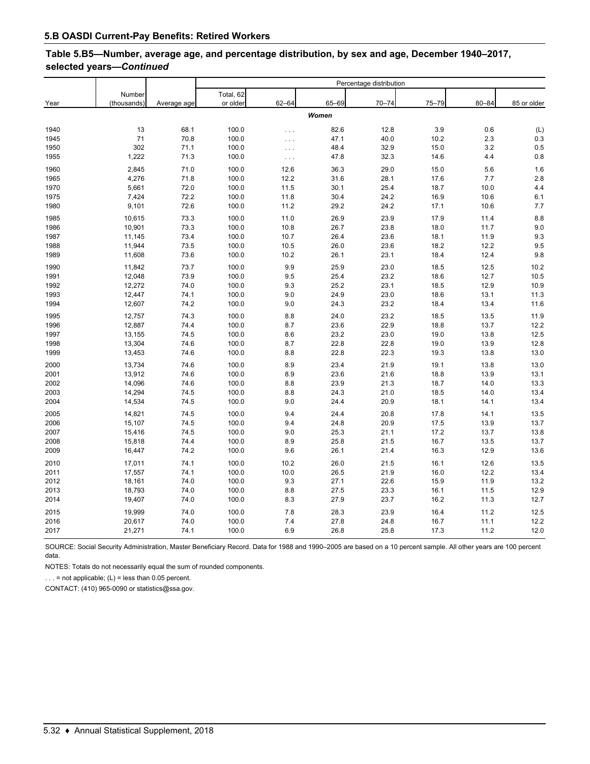# **Table 5.B5—Number, average age, and percentage distribution, by sex and age, December 1940–2017, selected years—***Continued*

|              |             |             | Percentage distribution |                      |              |              |              |           |             |
|--------------|-------------|-------------|-------------------------|----------------------|--------------|--------------|--------------|-----------|-------------|
|              | Number      |             | Total, 62               |                      |              |              |              |           |             |
| Year         | (thousands) | Average age | or older                | $62 - 64$            | 65-69        | $70 - 74$    | $75 - 79$    | $80 - 84$ | 85 or older |
|              |             |             |                         |                      | Women        |              |              |           |             |
| 1940         | 13          | 68.1        | 100.0                   |                      | 82.6         | 12.8         | 3.9          | 0.6       | (L)         |
| 1945         | 71          | 70.8        | 100.0                   | $\cdots$<br>$\cdots$ | 47.1         | 40.0         | 10.2         | 2.3       | 0.3         |
| 1950         | 302         | 71.1        | 100.0                   |                      | 48.4         | 32.9         | 15.0         | 3.2       | 0.5         |
| 1955         | 1,222       | 71.3        | 100.0                   | $\ldots$<br>$\cdots$ | 47.8         | 32.3         | 14.6         | 4.4       | 0.8         |
| 1960         | 2,845       | 71.0        | 100.0                   | 12.6                 | 36.3         | 29.0         | 15.0         | 5.6       | 1.6         |
| 1965         | 4,276       | 71.8        | 100.0                   | 12.2                 | 31.6         | 28.1         | 17.6         | 7.7       | 2.8         |
| 1970         | 5,661       | 72.0        | 100.0                   | 11.5                 | 30.1         | 25.4         | 18.7         | 10.0      | 4.4         |
| 1975         | 7,424       | 72.2        | 100.0                   | 11.8                 | 30.4         | 24.2         | 16.9         | 10.6      | 6.1         |
| 1980         | 9,101       | 72.6        | 100.0                   | 11.2                 | 29.2         | 24.2         | 17.1         | 10.6      | 7.7         |
|              |             | 73.3        | 100.0                   | 11.0                 | 26.9         | 23.9         | 17.9         | 11.4      | 8.8         |
| 1985         | 10,615      |             |                         |                      |              |              |              |           |             |
| 1986         | 10,901      | 73.3        | 100.0                   | 10.8                 | 26.7         | 23.8         | 18.0         | 11.7      | 9.0         |
| 1987         | 11,145      | 73.4        | 100.0                   | 10.7                 | 26.4         | 23.6         | 18.1         | 11.9      | 9.3         |
| 1988<br>1989 | 11,944      | 73.5        | 100.0                   | 10.5                 | 26.0<br>26.1 | 23.6<br>23.1 | 18.2<br>18.4 | 12.2      | 9.5<br>9.8  |
|              | 11,608      | 73.6        | 100.0                   | 10.2                 |              |              |              | 12.4      |             |
| 1990         | 11,842      | 73.7        | 100.0                   | 9.9                  | 25.9         | 23.0         | 18.5         | 12.5      | 10.2        |
| 1991         | 12,048      | 73.9        | 100.0                   | 9.5                  | 25.4         | 23.2         | 18.6         | 12.7      | 10.5        |
| 1992         | 12,272      | 74.0        | 100.0                   | 9.3                  | 25.2         | 23.1         | 18.5         | 12.9      | 10.9        |
| 1993         | 12,447      | 74.1        | 100.0                   | 9.0                  | 24.9         | 23.0         | 18.6         | 13.1      | 11.3        |
| 1994         | 12,607      | 74.2        | 100.0                   | 9.0                  | 24.3         | 23.2         | 18.4         | 13.4      | 11.6        |
| 1995         | 12,757      | 74.3        | 100.0                   | 8.8                  | 24.0         | 23.2         | 18.5         | 13.5      | 11.9        |
| 1996         | 12,887      | 74.4        | 100.0                   | 8.7                  | 23.6         | 22.9         | 18.8         | 13.7      | 12.2        |
| 1997         | 13,155      | 74.5        | 100.0                   | 8.6                  | 23.2         | 23.0         | 19.0         | 13.8      | 12.5        |
| 1998         | 13,304      | 74.6        | 100.0                   | 8.7                  | 22.8         | 22.8         | 19.0         | 13.9      | 12.8        |
| 1999         | 13,453      | 74.6        | 100.0                   | 8.8                  | 22.8         | 22.3         | 19.3         | 13.8      | 13.0        |
| 2000         | 13,734      | 74.6        | 100.0                   | 8.9                  | 23.4         | 21.9         | 19.1         | 13.8      | 13.0        |
| 2001         | 13,912      | 74.6        | 100.0                   | 8.9                  | 23.6         | 21.6         | 18.8         | 13.9      | 13.1        |
| 2002         | 14,096      | 74.6        | 100.0                   | 8.8                  | 23.9         | 21.3         | 18.7         | 14.0      | 13.3        |
| 2003         | 14,294      | 74.5        | 100.0                   | 8.8                  | 24.3         | 21.0         | 18.5         | 14.0      | 13.4        |
| 2004         | 14,534      | 74.5        | 100.0                   | 9.0                  | 24.4         | 20.9         | 18.1         | 14.1      | 13.4        |
| 2005         | 14,821      | 74.5        | 100.0                   | 9.4                  | 24.4         | 20.8         | 17.8         | 14.1      | 13.5        |
| 2006         | 15,107      | 74.5        | 100.0                   | 9.4                  | 24.8         | 20.9         | 17.5         | 13.9      | 13.7        |
| 2007         | 15,416      | 74.5        | 100.0                   | 9.0                  | 25.3         | 21.1         | 17.2         | 13.7      | 13.8        |
| 2008         | 15,818      | 74.4        | 100.0                   | 8.9                  | 25.8         | 21.5         | 16.7         | 13.5      | 13.7        |
| 2009         | 16,447      | 74.2        | 100.0                   | 9.6                  | 26.1         | 21.4         | 16.3         | 12.9      | 13.6        |
| 2010         | 17,011      | 74.1        | 100.0                   | 10.2                 | 26.0         | 21.5         | 16.1         | 12.6      | 13.5        |
| 2011         | 17,557      | 74.1        | 100.0                   | 10.0                 | 26.5         | 21.9         | 16.0         | 12.2      | 13.4        |
| 2012         | 18,161      | 74.0        | 100.0                   | 9.3                  | 27.1         | 22.6         | 15.9         | 11.9      | 13.2        |
| 2013         | 18,793      | 74.0        | 100.0                   | 8.8                  | 27.5         | 23.3         | 16.1         | 11.5      | 12.9        |
| 2014         | 19,407      | 74.0        | 100.0                   | 8.3                  | 27.9         | 23.7         | 16.2         | 11.3      | 12.7        |
| 2015         | 19,999      | 74.0        | 100.0                   | 7.8                  | 28.3         | 23.9         | 16.4         | 11.2      | 12.5        |
| 2016         | 20,617      | 74.0        | 100.0                   | 7.4                  | 27.8         | 24.8         | 16.7         | 11.1      | 12.2        |
| 2017         | 21,271      | 74.1        | 100.0                   | 6.9                  | 26.8         | 25.8         | 17.3         | 11.2      | 12.0        |

SOURCE: Social Security Administration, Master Beneficiary Record. Data for 1988 and 1990–2005 are based on a 10 percent sample. All other years are 100 percent data.

NOTES: Totals do not necessarily equal the sum of rounded components.

 $\ldots$  = not applicable; (L) = less than 0.05 percent.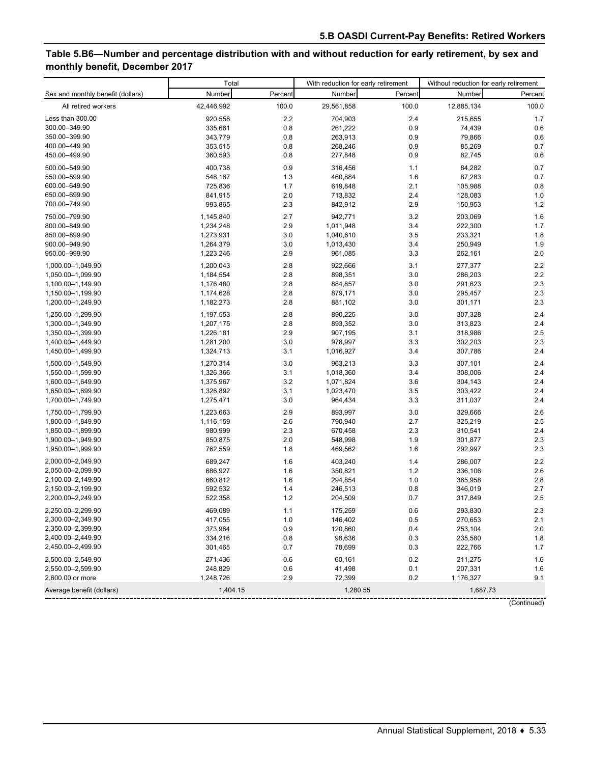# **Table 5.B6—Number and percentage distribution with and without reduction for early retirement, by sex and monthly benefit, December 2017**

|                                   | Total      |         | With reduction for early retirement |         | Without reduction for early retirement |         |
|-----------------------------------|------------|---------|-------------------------------------|---------|----------------------------------------|---------|
| Sex and monthly benefit (dollars) | Number     | Percent | Number                              | Percent | Number                                 | Percent |
| All retired workers               | 42,446,992 | 100.0   | 29,561,858                          | 100.0   | 12,885,134                             | 100.0   |
| Less than 300.00                  | 920,558    | 2.2     | 704,903                             | 2.4     | 215,655                                | 1.7     |
| 300.00-349.90                     | 335,661    | 0.8     | 261,222                             | 0.9     | 74,439                                 | 0.6     |
| 350.00-399.90                     | 343,779    | 0.8     | 263,913                             | 0.9     | 79,866                                 | 0.6     |
| 400.00-449.90                     | 353,515    | 0.8     | 268,246                             | 0.9     | 85,269                                 | 0.7     |
| 450.00-499.90                     | 360,593    | 0.8     | 277,848                             | 0.9     | 82,745                                 | 0.6     |
| 500.00-549.90                     | 400,738    | 0.9     | 316,456                             | 1.1     | 84,282                                 | 0.7     |
| 550.00-599.90                     | 548,167    | 1.3     | 460,884                             | 1.6     | 87,283                                 | 0.7     |
| 600.00-649.90                     | 725,836    | 1.7     | 619,848                             | 2.1     | 105,988                                | 0.8     |
| 650.00-699.90                     | 841,915    | 2.0     | 713,832                             | 2.4     | 128,083                                | 1.0     |
| 700.00-749.90                     | 993,865    | 2.3     | 842,912                             | 2.9     | 150,953                                | 1.2     |
| 750.00-799.90                     | 1,145,840  | 2.7     | 942,771                             | 3.2     | 203,069                                | 1.6     |
| 800.00-849.90                     | 1,234,248  | 2.9     | 1,011,948                           | 3.4     | 222,300                                | 1.7     |
| 850.00-899.90                     | 1,273,931  | 3.0     | 1,040,610                           | 3.5     | 233,321                                | 1.8     |
| 900.00-949.90                     | 1,264,379  | 3.0     | 1,013,430                           | 3.4     | 250,949                                | 1.9     |
| 950.00-999.90                     | 1,223,246  | 2.9     | 961,085                             | 3.3     | 262,161                                | 2.0     |
| 1,000.00-1,049.90                 | 1,200,043  | 2.8     | 922,666                             | 3.1     | 277,377                                | 2.2     |
| 1,050.00-1,099.90                 | 1,184,554  | 2.8     | 898,351                             | 3.0     | 286,203                                | 2.2     |
| 1,100.00-1,149.90                 | 1,176,480  | 2.8     | 884,857                             | 3.0     | 291,623                                | 2.3     |
| 1,150.00-1,199.90                 | 1,174,628  | 2.8     | 879,171                             | 3.0     | 295,457                                | 2.3     |
| 1,200.00-1,249.90                 | 1,182,273  | 2.8     | 881,102                             | 3.0     | 301,171                                | 2.3     |
| 1,250.00-1,299.90                 | 1,197,553  | 2.8     | 890,225                             | 3.0     | 307,328                                | 2.4     |
| 1,300.00-1,349.90                 | 1,207,175  | 2.8     | 893,352                             | 3.0     | 313,823                                | 2.4     |
| 1,350.00-1,399.90                 | 1,226,181  | 2.9     | 907,195                             | 3.1     | 318,986                                | 2.5     |
| 1,400.00-1,449.90                 | 1,281,200  | 3.0     | 978,997                             | 3.3     | 302,203                                | 2.3     |
| 1,450.00-1,499.90                 | 1,324,713  | 3.1     | 1,016,927                           | 3.4     | 307,786                                | 2.4     |
| 1,500.00-1,549.90                 | 1,270,314  | 3.0     | 963,213                             | 3.3     | 307,101                                | 2.4     |
| 1,550.00-1,599.90                 | 1,326,366  | 3.1     | 1,018,360                           | 3.4     | 308,006                                | 2.4     |
| 1,600.00-1,649.90                 | 1,375,967  | 3.2     | 1,071,824                           | 3.6     | 304,143                                | 2.4     |
| 1,650.00-1,699.90                 | 1,326,892  | 3.1     | 1,023,470                           | 3.5     | 303,422                                | 2.4     |
| 1,700.00-1,749.90                 | 1,275,471  | 3.0     | 964,434                             | 3.3     | 311,037                                | 2.4     |
| 1,750.00-1,799.90                 | 1,223,663  | 2.9     | 893,997                             | 3.0     | 329,666                                | 2.6     |
| 1,800.00-1,849.90                 | 1,116,159  | 2.6     | 790,940                             | 2.7     | 325,219                                | 2.5     |
| 1,850.00-1,899.90                 | 980,999    | 2.3     | 670,458                             | 2.3     | 310,541                                | 2.4     |
| 1,900.00-1,949.90                 | 850,875    | 2.0     | 548,998                             | 1.9     | 301,877                                | 2.3     |
| 1,950.00-1,999.90                 | 762,559    | 1.8     | 469,562                             | 1.6     | 292,997                                | 2.3     |
| 2,000.00-2,049.90                 | 689.247    | 1.6     | 403,240                             | 1.4     | 286,007                                | 2.2     |
| 2,050.00-2,099.90                 | 686,927    | 1.6     | 350,821                             | 1.2     | 336,106                                | 2.6     |
| 2,100.00-2,149.90                 | 660,812    | 1.6     | 294,854                             | 1.0     | 365,958                                | 2.8     |
| 2,150.00-2,199.90                 | 592,532    | 1.4     | 246,513                             | 0.8     | 346,019                                | 2.7     |
| 2,200.00-2,249.90                 | 522,358    | 1.2     | 204,509                             | 0.7     | 317,849                                | 2.5     |
| 2,250.00-2,299.90                 | 469,089    | 1.1     | 175,259                             | 0.6     | 293,830                                | $2.3\,$ |
| 2,300.00-2,349.90                 | 417,055    | 1.0     | 146,402                             | 0.5     | 270,653                                | 2.1     |
| 2,350.00-2,399.90                 | 373,964    | 0.9     | 120,860                             | 0.4     | 253,104                                | $2.0\,$ |
| 2,400.00-2,449.90                 | 334,216    | 0.8     | 98,636                              | 0.3     | 235,580                                | 1.8     |
| 2,450.00-2,499.90                 | 301,465    | 0.7     | 78,699                              | 0.3     | 222,766                                | 1.7     |
| 2,500.00-2,549.90                 | 271,436    | 0.6     | 60,161                              | 0.2     | 211,275                                | 1.6     |
| 2,550.00-2,599.90                 | 248,829    | 0.6     | 41,498                              | 0.1     | 207,331                                | 1.6     |
| 2,600.00 or more                  | 1,248,726  | 2.9     | 72,399                              | 0.2     | 1,176,327                              | 9.1     |
| Average benefit (dollars)         | 1,404.15   |         | 1,280.55                            |         | 1,687.73                               |         |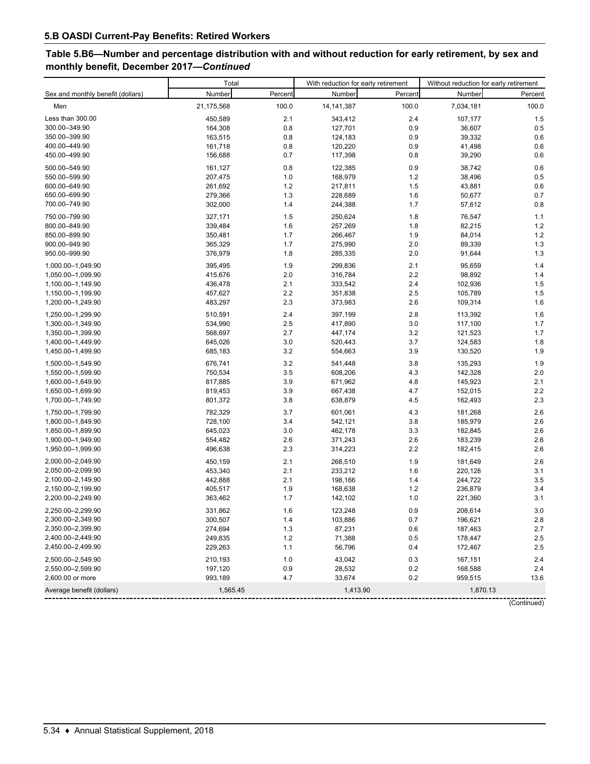# **Table 5.B6—Number and percentage distribution with and without reduction for early retirement, by sex and monthly benefit, December 2017—***Continued*

|                                   | Total      |         | With reduction for early retirement |         | Without reduction for early retirement |         |
|-----------------------------------|------------|---------|-------------------------------------|---------|----------------------------------------|---------|
| Sex and monthly benefit (dollars) | Number     | Percent | Number                              | Percent | Number                                 | Percent |
| Men                               | 21,175,568 | 100.0   | 14, 141, 387                        | 100.0   | 7,034,181                              | 100.0   |
| Less than 300.00                  | 450,589    | 2.1     | 343,412                             | 2.4     | 107,177                                | 1.5     |
| 300.00-349.90                     | 164,308    | 0.8     | 127,701                             | 0.9     | 36,607                                 | 0.5     |
| 350.00-399.90                     | 163,515    | 0.8     | 124,183                             | 0.9     | 39,332                                 | 0.6     |
| 400.00-449.90                     | 161,718    | 0.8     | 120,220                             | 0.9     | 41,498                                 | 0.6     |
| 450.00-499.90                     | 156,688    | 0.7     | 117,398                             | 0.8     | 39,290                                 | 0.6     |
| 500.00-549.90                     | 161,127    | 0.8     | 122,385                             | 0.9     | 38,742                                 | 0.6     |
| 550.00-599.90                     | 207,475    | 1.0     | 168,979                             | 1.2     | 38,496                                 | 0.5     |
| 600.00-649.90                     | 261,692    | 1.2     | 217,811                             | 1.5     | 43,881                                 | 0.6     |
| 650.00-699.90                     | 279,366    | 1.3     | 228,689                             | 1.6     | 50,677                                 | 0.7     |
| 700.00-749.90                     | 302,000    | 1.4     | 244,388                             | 1.7     | 57,612                                 | 0.8     |
| 750.00-799.90                     | 327,171    | 1.5     | 250,624                             | 1.8     | 76,547                                 | 1.1     |
| 800.00-849.90                     | 339,484    | 1.6     | 257,269                             | 1.8     | 82,215                                 | 1.2     |
| 850.00-899.90                     | 350,481    | 1.7     | 266,467                             | 1.9     | 84,014                                 | 1.2     |
| 900.00-949.90                     | 365,329    | 1.7     | 275,990                             | 2.0     | 89,339                                 | 1.3     |
| 950.00-999.90                     | 376,979    | 1.8     | 285,335                             | 2.0     | 91,644                                 | 1.3     |
| 1.000.00-1.049.90                 | 395,495    | 1.9     | 299,836                             | 2.1     | 95,659                                 | 1.4     |
| 1,050.00-1,099.90                 | 415,676    | 2.0     | 316,784                             | 2.2     | 98,892                                 | 1.4     |
| 1,100.00-1,149.90                 | 436,478    | 2.1     | 333,542                             | 2.4     | 102,936                                | 1.5     |
| 1,150.00-1,199.90                 | 457,627    | 2.2     | 351,838                             | 2.5     | 105,789                                | 1.5     |
| 1,200.00-1,249.90                 | 483,297    | 2.3     | 373,983                             | 2.6     | 109,314                                | 1.6     |
| 1,250.00-1,299.90                 | 510,591    | 2.4     | 397,199                             | 2.8     | 113,392                                | 1.6     |
| 1,300.00-1,349.90                 | 534,990    | 2.5     | 417,890                             | 3.0     | 117,100                                | 1.7     |
| 1,350.00-1,399.90                 | 568,697    | 2.7     | 447,174                             | 3.2     | 121,523                                | 1.7     |
| 1,400.00-1,449.90                 | 645,026    | 3.0     | 520,443                             | 3.7     | 124,583                                | 1.8     |
| 1,450.00-1,499.90                 | 685,183    | 3.2     | 554,663                             | 3.9     | 130,520                                | 1.9     |
| 1,500.00-1,549.90                 | 676,741    | 3.2     | 541,448                             | 3.8     | 135,293                                | 1.9     |
| 1,550.00-1,599.90                 | 750,534    | 3.5     | 608,206                             | 4.3     | 142,328                                | 2.0     |
| 1,600.00-1,649.90                 | 817,885    | 3.9     | 671,962                             | 4.8     | 145,923                                | 2.1     |
| 1,650.00-1,699.90                 | 819,453    | 3.9     | 667,438                             | 4.7     | 152,015                                | 2.2     |
| 1,700.00-1,749.90                 | 801,372    | 3.8     | 638,879                             | 4.5     | 162,493                                | 2.3     |
| 1,750.00-1,799.90                 | 782,329    | 3.7     | 601,061                             | 4.3     | 181,268                                | 2.6     |
| 1,800.00-1,849.90                 | 728,100    | 3.4     | 542,121                             | 3.8     | 185,979                                | 2.6     |
| 1,850.00-1,899.90                 | 645,023    | 3.0     | 462,178                             | 3.3     | 182,845                                | 2.6     |
| 1,900.00-1,949.90                 | 554,482    | 2.6     | 371,243                             | 2.6     | 183,239                                | 2.6     |
| 1,950.00-1,999.90                 | 496,638    | 2.3     | 314,223                             | 2.2     | 182,415                                | 2.6     |
| 2,000.00-2,049.90                 | 450,159    | 2.1     | 268,510                             | 1.9     | 181,649                                | 2.6     |
| 2,050.00-2,099.90                 | 453,340    | 2.1     | 233,212                             | 1.6     | 220,128                                | 3.1     |
| 2,100.00-2,149.90                 | 442,888    | 2.1     | 198,166                             | 1.4     | 244,722                                | 3.5     |
| 2,150.00-2,199.90                 | 405,517    | 1.9     | 168,638                             | 1.2     | 236,879                                | 3.4     |
| 2,200.00-2,249.90                 | 363,462    | 1.7     | 142,102                             | 1.0     | 221,360                                | 3.1     |
| 2,250.00-2,299.90                 | 331,862    | 1.6     | 123,248                             | $0.9\,$ | 208,614                                | $3.0\,$ |
| 2,300.00-2,349.90                 | 300,507    | 1.4     | 103,886                             | 0.7     | 196,621                                | 2.8     |
| 2,350.00-2,399.90                 | 274,694    | 1.3     | 87,231                              | 0.6     | 187,463                                | 2.7     |
| 2,400.00-2,449.90                 | 249,835    | 1.2     | 71,388                              | 0.5     | 178,447                                | 2.5     |
| 2,450.00-2,499.90                 | 229,263    | 1.1     | 56,796                              | 0.4     | 172,467                                | 2.5     |
| 2,500.00-2,549.90                 | 210,193    | 1.0     | 43,042                              | 0.3     | 167,151                                | 2.4     |
| 2,550.00-2,599.90                 | 197,120    | 0.9     | 28,532                              | 0.2     | 168,588                                | 2.4     |
| 2,600.00 or more                  | 993,189    | 4.7     | 33,674                              | 0.2     | 959,515                                | 13.6    |
| Average benefit (dollars)         | 1,565.45   |         | 1,413.90                            |         | 1,870.13                               |         |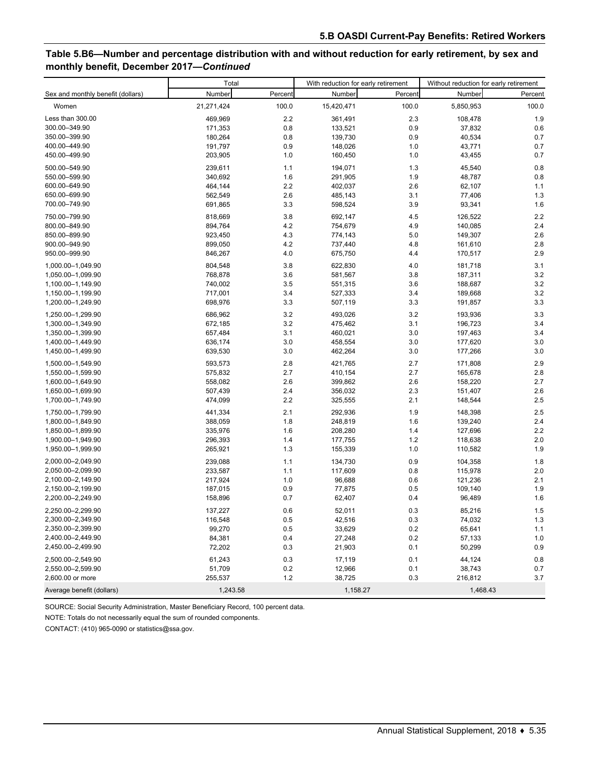# **Table 5.B6—Number and percentage distribution with and without reduction for early retirement, by sex and monthly benefit, December 2017—***Continued*

|                                   | Total      |         | With reduction for early retirement |         | Without reduction for early retirement |         |
|-----------------------------------|------------|---------|-------------------------------------|---------|----------------------------------------|---------|
| Sex and monthly benefit (dollars) | Number     | Percent | Number                              | Percent | Number                                 | Percent |
| Women                             | 21,271,424 | 100.0   | 15,420,471                          | 100.0   | 5,850,953                              | 100.0   |
| Less than 300.00                  | 469,969    | 2.2     | 361,491                             | 2.3     | 108,478                                | 1.9     |
| 300.00-349.90                     | 171,353    | 0.8     | 133,521                             | 0.9     | 37,832                                 | 0.6     |
| 350.00-399.90                     | 180,264    | 0.8     | 139,730                             | 0.9     | 40,534                                 | 0.7     |
| 400.00-449.90                     | 191,797    | 0.9     | 148,026                             | 1.0     | 43,771                                 | 0.7     |
| 450.00–499.90                     | 203,905    | 1.0     | 160,450                             | 1.0     | 43,455                                 | 0.7     |
| 500.00-549.90                     | 239,611    | 1.1     | 194,071                             | 1.3     | 45,540                                 | 0.8     |
| 550.00-599.90                     | 340,692    | 1.6     | 291,905                             | 1.9     | 48,787                                 | 0.8     |
| 600.00-649.90                     | 464,144    | 2.2     | 402,037                             | 2.6     | 62,107                                 | 1.1     |
| 650.00-699.90                     | 562,549    | 2.6     | 485,143                             | 3.1     | 77,406                                 | 1.3     |
| 700.00-749.90                     | 691,865    | 3.3     | 598,524                             | 3.9     | 93,341                                 | 1.6     |
| 750.00-799.90                     | 818,669    | 3.8     | 692,147                             | 4.5     | 126,522                                | 2.2     |
| 800.00-849.90                     | 894,764    | 4.2     | 754,679                             | 4.9     | 140,085                                | 2.4     |
| 850.00-899.90                     | 923,450    | 4.3     | 774,143                             | 5.0     | 149,307                                | 2.6     |
| 900.00-949.90                     | 899,050    | 4.2     | 737,440                             | 4.8     | 161,610                                | 2.8     |
| 950.00-999.90                     | 846,267    | 4.0     | 675,750                             | 4.4     | 170,517                                | 2.9     |
| 1,000.00-1,049.90                 | 804,548    | 3.8     | 622,830                             | 4.0     | 181,718                                | 3.1     |
| 1,050.00-1,099.90                 | 768,878    | 3.6     | 581,567                             | 3.8     | 187,311                                | 3.2     |
| 1,100.00-1,149.90                 | 740,002    | 3.5     | 551,315                             | 3.6     | 188,687                                | 3.2     |
| 1,150.00-1,199.90                 | 717,001    | 3.4     | 527,333                             | 3.4     | 189,668                                | 3.2     |
| 1,200.00-1,249.90                 | 698,976    | 3.3     | 507,119                             | 3.3     | 191,857                                | 3.3     |
| 1,250.00-1,299.90                 | 686,962    | 3.2     | 493,026                             | 3.2     | 193,936                                | 3.3     |
| 1,300.00-1,349.90                 | 672,185    | 3.2     | 475,462                             | 3.1     | 196,723                                | 3.4     |
| 1,350.00-1,399.90                 | 657,484    | 3.1     | 460,021                             | 3.0     | 197,463                                | 3.4     |
| 1,400.00-1,449.90                 | 636,174    | 3.0     | 458,554                             | 3.0     | 177,620                                | 3.0     |
| 1,450.00-1,499.90                 | 639,530    | 3.0     | 462,264                             | 3.0     | 177,266                                | 3.0     |
| 1,500.00-1,549.90                 | 593,573    | 2.8     | 421,765                             | 2.7     | 171,808                                | 2.9     |
| 1,550.00-1,599.90                 | 575,832    | 2.7     | 410,154                             | 2.7     | 165,678                                | 2.8     |
| 1,600.00-1,649.90                 | 558,082    | 2.6     | 399,862                             | 2.6     | 158,220                                | 2.7     |
| 1,650.00-1,699.90                 | 507,439    | 2.4     | 356,032                             | 2.3     | 151,407                                | 2.6     |
| 1,700.00-1,749.90                 | 474,099    | 2.2     | 325,555                             | 2.1     | 148,544                                | 2.5     |
| 1,750.00-1,799.90                 | 441,334    | 2.1     | 292,936                             | 1.9     | 148,398                                | 2.5     |
| 1,800.00-1,849.90                 | 388,059    | 1.8     | 248,819                             | 1.6     | 139,240                                | 2.4     |
| 1,850.00-1,899.90                 | 335,976    | 1.6     | 208,280                             | 1.4     | 127,696                                | 2.2     |
| 1,900.00-1,949.90                 | 296,393    | 1.4     | 177,755                             | $1.2$   | 118,638                                | 2.0     |
| 1,950.00-1,999.90                 | 265,921    | 1.3     | 155,339                             | 1.0     | 110,582                                | 1.9     |
| 2,000.00-2,049.90                 | 239,088    | 1.1     | 134,730                             | 0.9     | 104,358                                | 1.8     |
| 2,050.00-2,099.90                 | 233,587    | 1.1     | 117,609                             | 0.8     | 115,978                                | 2.0     |
| 2,100.00-2,149.90                 | 217,924    | 1.0     | 96,688                              | 0.6     | 121,236                                | 2.1     |
| 2,150.00-2,199.90                 | 187,015    | 0.9     | 77,875                              | 0.5     | 109,140                                | 1.9     |
| 2,200.00-2,249.90                 | 158,896    | 0.7     | 62,407                              | 0.4     | 96,489                                 | 1.6     |
| 2,250.00-2,299.90                 | 137,227    | $0.6\,$ | 52,011                              | $0.3\,$ | 85,216                                 | 1.5     |
| 2,300.00-2,349.90                 | 116,548    | 0.5     | 42,516                              | 0.3     | 74,032                                 | 1.3     |
| 2,350.00-2,399.90                 | 99,270     | 0.5     | 33,629                              | 0.2     | 65,641                                 | 1.1     |
| 2,400.00-2,449.90                 | 84,381     | 0.4     | 27,248                              | 0.2     | 57,133                                 | 1.0     |
| 2,450.00-2,499.90                 | 72,202     | 0.3     | 21,903                              | 0.1     | 50,299                                 | 0.9     |
| 2,500.00-2,549.90                 | 61,243     | 0.3     | 17,119                              | 0.1     | 44,124                                 | 0.8     |
| 2,550.00-2,599.90                 | 51,709     | 0.2     | 12,966                              | 0.1     | 38,743                                 | 0.7     |
| 2,600.00 or more                  | 255,537    | $1.2$   | 38,725                              | 0.3     | 216,812                                | 3.7     |
| Average benefit (dollars)         | 1,243.58   |         | 1,158.27                            |         | 1,468.43                               |         |

SOURCE: Social Security Administration, Master Beneficiary Record, 100 percent data.

NOTE: Totals do not necessarily equal the sum of rounded components.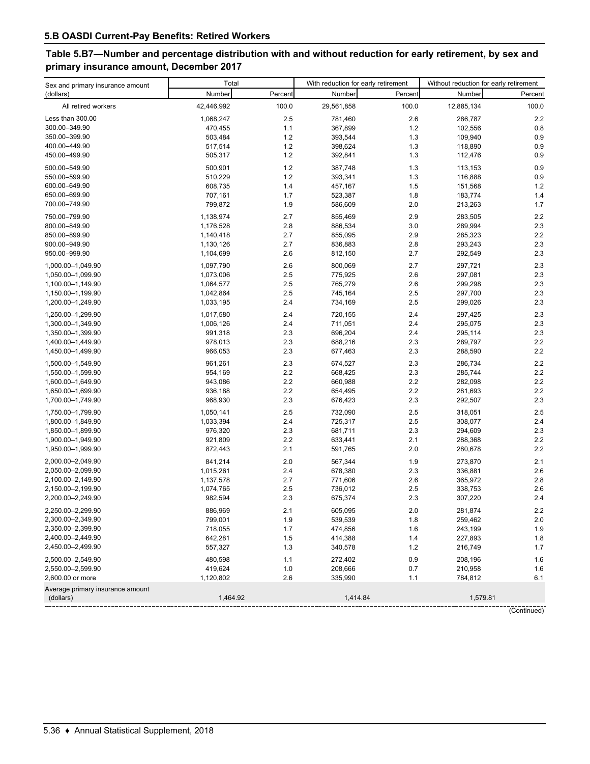# **Table 5.B7—Number and percentage distribution with and without reduction for early retirement, by sex and primary insurance amount, December 2017**

| Sex and primary insurance amount              | Total      |         | With reduction for early retirement |         | Without reduction for early retirement |         |
|-----------------------------------------------|------------|---------|-------------------------------------|---------|----------------------------------------|---------|
| (dollars)                                     | Number     | Percent | Number                              | Percent | Number                                 | Percent |
| All retired workers                           | 42,446,992 | 100.0   | 29,561,858                          | 100.0   | 12,885,134                             | 100.0   |
| Less than 300.00                              | 1,068,247  | 2.5     | 781,460                             | 2.6     | 286,787                                | 2.2     |
| 300.00-349.90                                 | 470,455    | 1.1     | 367,899                             | 1.2     | 102,556                                | 0.8     |
| 350.00-399.90                                 | 503,484    | 1.2     | 393,544                             | 1.3     | 109,940                                | 0.9     |
| 400.00-449.90                                 | 517,514    | 1.2     | 398,624                             | 1.3     | 118,890                                | 0.9     |
| 450.00-499.90                                 | 505,317    | 1.2     | 392,841                             | 1.3     | 112,476                                | 0.9     |
| 500.00-549.90                                 | 500,901    | 1.2     | 387,748                             | 1.3     | 113,153                                | 0.9     |
| 550.00-599.90                                 | 510,229    | 1.2     | 393,341                             | 1.3     | 116,888                                | 0.9     |
| 600.00-649.90                                 | 608,735    | 1.4     | 457,167                             | 1.5     | 151,568                                | 1.2     |
| 650.00-699.90                                 | 707,161    | 1.7     | 523,387                             | 1.8     | 183,774                                | 1.4     |
| 700.00-749.90                                 | 799,872    | 1.9     | 586,609                             | 2.0     | 213,263                                | 1.7     |
|                                               |            |         |                                     |         |                                        |         |
| 750.00-799.90                                 | 1,138,974  | 2.7     | 855,469                             | 2.9     | 283,505                                | 2.2     |
| 800.00-849.90                                 | 1,176,528  | 2.8     | 886,534                             | 3.0     | 289,994                                | 2.3     |
| 850.00-899.90                                 | 1,140,418  | 2.7     | 855,095                             | 2.9     | 285,323                                | 2.2     |
| 900.00-949.90                                 | 1,130,126  | 2.7     | 836,883                             | 2.8     | 293,243                                | 2.3     |
| 950.00-999.90                                 | 1,104,699  | 2.6     | 812,150                             | 2.7     | 292,549                                | 2.3     |
| 1,000.00-1,049.90                             | 1,097,790  | 2.6     | 800,069                             | 2.7     | 297,721                                | 2.3     |
| 1,050.00-1,099.90                             | 1,073,006  | 2.5     | 775,925                             | 2.6     | 297,081                                | 2.3     |
| 1,100.00-1,149.90                             | 1,064,577  | 2.5     | 765,279                             | 2.6     | 299,298                                | 2.3     |
| 1,150.00-1,199.90                             | 1,042,864  | 2.5     | 745,164                             | 2.5     | 297,700                                | 2.3     |
| 1,200.00-1,249.90                             | 1,033,195  | 2.4     | 734,169                             | 2.5     | 299,026                                | 2.3     |
| 1,250.00-1,299.90                             | 1,017,580  | 2.4     | 720,155                             | 2.4     | 297,425                                | 2.3     |
| 1,300.00-1,349.90                             | 1,006,126  | 2.4     | 711,051                             | 2.4     | 295,075                                | 2.3     |
| 1,350.00-1,399.90                             | 991,318    | 2.3     | 696,204                             | 2.4     | 295,114                                | 2.3     |
| 1,400.00-1,449.90                             | 978,013    | 2.3     | 688,216                             | 2.3     | 289,797                                | 2.2     |
| 1,450.00-1,499.90                             | 966,053    | 2.3     | 677,463                             | 2.3     | 288,590                                | 2.2     |
| 1,500.00-1,549.90                             | 961,261    | 2.3     | 674,527                             | 2.3     | 286,734                                | 2.2     |
| 1,550.00-1,599.90                             | 954,169    | 2.2     | 668,425                             | 2.3     | 285,744                                | 2.2     |
| 1,600.00-1,649.90                             | 943,086    | 2.2     | 660,988                             | 2.2     | 282,098                                | 2.2     |
| 1,650.00-1,699.90                             | 936,188    | 2.2     | 654,495                             | 2.2     | 281,693                                | 2.2     |
| 1,700.00-1,749.90                             | 968,930    | 2.3     | 676,423                             | 2.3     | 292,507                                | 2.3     |
| 1,750.00-1,799.90                             | 1,050,141  | 2.5     | 732,090                             | 2.5     | 318,051                                | 2.5     |
| 1,800.00-1,849.90                             | 1,033,394  | 2.4     | 725,317                             | 2.5     | 308,077                                | 2.4     |
| 1,850.00-1,899.90                             | 976,320    | 2.3     | 681,711                             | 2.3     | 294,609                                | 2.3     |
| 1,900.00-1,949.90                             | 921,809    | 2.2     | 633,441                             | 2.1     | 288,368                                | 2.2     |
| 1,950.00-1,999.90                             | 872,443    | 2.1     | 591,765                             | 2.0     | 280,678                                | 2.2     |
| 2,000.00-2,049.90                             | 841,214    | 2.0     | 567,344                             | 1.9     | 273,870                                | 2.1     |
| 2,050.00-2,099.90                             | 1,015,261  | 2.4     | 678,380                             | 2.3     | 336,881                                | 2.6     |
| 2,100.00-2,149.90                             | 1,137,578  | 2.7     | 771,606                             | 2.6     | 365,972                                | 2.8     |
| 2,150.00-2,199.90                             | 1,074,765  | 2.5     | 736,012                             | 2.5     | 338,753                                | 2.6     |
| 2,200.00-2,249.90                             | 982,594    | 2.3     | 675,374                             | 2.3     | 307,220                                | 2.4     |
| 2,250.00-2,299.90                             | 886,969    | 2.1     | 605,095                             | $2.0\,$ | 281,874                                | $2.2\,$ |
| 2,300.00-2,349.90                             | 799,001    | 1.9     | 539,539                             | 1.8     | 259,462                                | 2.0     |
| 2,350.00-2,399.90                             | 718,055    | 1.7     | 474,856                             | 1.6     | 243,199                                | 1.9     |
| 2,400.00-2,449.90                             | 642,281    | 1.5     | 414,388                             | 1.4     | 227,893                                | 1.8     |
| 2,450.00-2,499.90                             | 557,327    | 1.3     | 340,578                             | 1.2     | 216,749                                | 1.7     |
| 2,500.00-2,549.90                             | 480,598    | 1.1     | 272,402                             | 0.9     | 208,196                                | 1.6     |
| 2,550.00-2,599.90                             | 419,624    | 1.0     | 208,666                             | 0.7     | 210,958                                | 1.6     |
| 2,600.00 or more                              | 1,120,802  | 2.6     | 335,990                             | 1.1     | 784,812                                | 6.1     |
| Average primary insurance amount<br>(dollars) | 1,464.92   |         | 1,414.84                            |         | 1,579.81                               |         |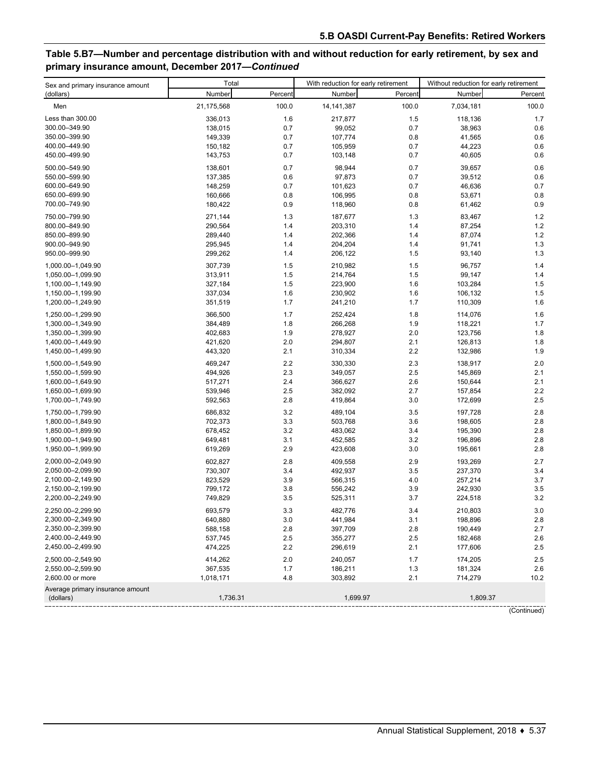# **Table 5.B7—Number and percentage distribution with and without reduction for early retirement, by sex and primary insurance amount, December 2017—***Continued*

| Sex and primary insurance amount              | Total              |            | With reduction for early retirement |            | Without reduction for early retirement |            |
|-----------------------------------------------|--------------------|------------|-------------------------------------|------------|----------------------------------------|------------|
| (dollars)                                     | Number             | Percent    | Number                              | Percent    | Number                                 | Percent    |
| Men                                           | 21,175,568         | 100.0      | 14, 141, 387                        | 100.0      | 7,034,181                              | 100.0      |
| Less than 300.00                              | 336,013            | 1.6        | 217,877                             | 1.5        | 118,136                                | 1.7        |
| 300.00-349.90                                 | 138,015            | 0.7        | 99,052                              | 0.7        | 38,963                                 | 0.6        |
| 350.00-399.90                                 | 149,339            | 0.7        | 107,774                             | 0.8        | 41,565                                 | 0.6        |
| 400.00-449.90                                 | 150,182            | 0.7        | 105,959                             | 0.7        | 44,223                                 | 0.6        |
| 450.00-499.90                                 | 143,753            | 0.7        | 103,148                             | 0.7        | 40,605                                 | 0.6        |
|                                               |                    |            |                                     |            |                                        |            |
| 500.00-549.90                                 | 138,601            | 0.7        | 98,944                              | 0.7        | 39,657                                 | 0.6        |
| 550.00-599.90                                 | 137,385            | 0.6        | 97,873                              | 0.7        | 39,512                                 | 0.6        |
| 600.00-649.90                                 | 148,259            | 0.7        | 101,623                             | 0.7        | 46,636                                 | 0.7        |
| 650.00-699.90                                 | 160,666            | 0.8        | 106,995                             | 0.8        | 53,671                                 | 0.8        |
| 700.00-749.90                                 | 180,422            | 0.9        | 118,960                             | 0.8        | 61,462                                 | 0.9        |
| 750.00-799.90                                 | 271,144            | 1.3        | 187,677                             | 1.3        | 83,467                                 | 1.2        |
| 800.00-849.90                                 | 290,564            | 1.4        | 203,310                             | 1.4        | 87,254                                 | 1.2        |
| 850.00-899.90                                 | 289,440            | 1.4        | 202,366                             | 1.4        | 87,074                                 | 1.2        |
| 900.00-949.90                                 | 295,945            | 1.4        | 204,204                             | 1.4        | 91,741                                 | 1.3        |
| 950.00-999.90                                 | 299,262            | 1.4        | 206,122                             | 1.5        | 93,140                                 | 1.3        |
| 1,000.00-1,049.90                             | 307,739            | 1.5        | 210,982                             | 1.5        | 96,757                                 | 1.4        |
| 1,050.00-1,099.90                             | 313,911            | 1.5        | 214,764                             | 1.5        | 99,147                                 | 1.4        |
| 1,100.00-1,149.90                             | 327,184            | 1.5        | 223,900                             | 1.6        | 103,284                                | 1.5        |
| 1,150.00-1,199.90                             | 337,034            | 1.6        | 230,902                             | 1.6        | 106,132                                | 1.5        |
| 1,200.00-1,249.90                             | 351,519            | 1.7        | 241,210                             | 1.7        | 110,309                                | 1.6        |
| 1,250.00-1,299.90                             | 366,500            | 1.7        | 252,424                             | 1.8        | 114,076                                | 1.6        |
| 1,300.00-1,349.90                             | 384,489            | 1.8        | 266,268                             | 1.9        | 118,221                                | 1.7        |
| 1,350.00-1,399.90                             | 402,683            | 1.9        | 278,927                             | 2.0        | 123,756                                | 1.8        |
| 1,400.00-1,449.90                             | 421,620            | 2.0        | 294,807                             | 2.1        | 126,813                                | 1.8        |
| 1,450.00-1,499.90                             | 443,320            | 2.1        | 310,334                             | 2.2        | 132,986                                | 1.9        |
| 1,500.00-1,549.90                             | 469,247            | 2.2        | 330,330                             | 2.3        | 138,917                                | 2.0        |
| 1,550.00-1,599.90                             | 494,926            | 2.3        | 349,057                             | 2.5        | 145,869                                | 2.1        |
| 1,600.00-1,649.90                             | 517,271            | 2.4        | 366,627                             | 2.6        | 150,644                                | 2.1        |
| 1,650.00-1,699.90                             | 539,946            | 2.5        | 382,092                             | 2.7        | 157,854                                | 2.2        |
| 1,700.00-1,749.90                             | 592,563            | 2.8        | 419,864                             | 3.0        | 172,699                                | 2.5        |
| 1,750.00-1,799.90                             | 686,832            | 3.2        | 489,104                             | 3.5        | 197,728                                | 2.8        |
| 1,800.00-1,849.90                             | 702,373            | 3.3        | 503,768                             | 3.6        | 198,605                                | 2.8        |
| 1,850.00-1,899.90                             | 678,452            | 3.2        | 483,062                             | 3.4        | 195,390                                | 2.8        |
| 1,900.00-1,949.90                             | 649,481            | 3.1        | 452,585                             | 3.2        | 196,896                                | 2.8        |
| 1,950.00-1,999.90                             | 619,269            | 2.9        | 423,608                             | 3.0        | 195,661                                | 2.8        |
| 2,000.00-2,049.90                             | 602,827            | 2.8        | 409,558                             | 2.9        | 193,269                                | 2.7        |
| 2,050.00-2,099.90                             | 730,307            | 3.4        | 492,937                             | 3.5        | 237,370                                | 3.4        |
| 2,100.00-2,149.90                             | 823,529            | 3.9        | 566,315                             | 4.0        | 257,214                                | 3.7        |
| 2,150.00-2,199.90                             | 799,172            | 3.8        | 556,242                             | 3.9        | 242,930                                | 3.5        |
| 2,200.00-2,249.90                             | 749,829            | 3.5        | 525,311                             | 3.7        | 224,518                                | 3.2        |
|                                               | 693,579            |            |                                     |            |                                        |            |
| 2,250.00–2,299.90<br>2,300.00-2,349.90        |                    | 3.3<br>3.0 | 482,776                             | 3.4        | 210,803<br>198,896                     | 3.0<br>2.8 |
| 2,350.00-2,399.90                             | 640,880<br>588,158 | 2.8        | 441,984<br>397,709                  | 3.1<br>2.8 | 190,449                                | 2.7        |
| 2,400.00-2,449.90                             | 537,745            | 2.5        | 355,277                             | 2.5        | 182,468                                | 2.6        |
| 2,450.00-2,499.90                             | 474,225            | 2.2        | 296,619                             | 2.1        | 177,606                                | 2.5        |
|                                               |                    |            |                                     |            |                                        |            |
| 2,500.00-2,549.90                             | 414,262            | 2.0        | 240,057                             | 1.7        | 174,205                                | 2.5        |
| 2,550.00-2,599.90                             | 367,535            | 1.7        | 186,211                             | 1.3        | 181,324                                | 2.6        |
| 2,600.00 or more                              | 1,018,171          | 4.8        | 303,892                             | 2.1        | 714,279                                | 10.2       |
| Average primary insurance amount<br>(dollars) | 1,736.31           |            | 1,699.97                            |            | 1,809.37                               |            |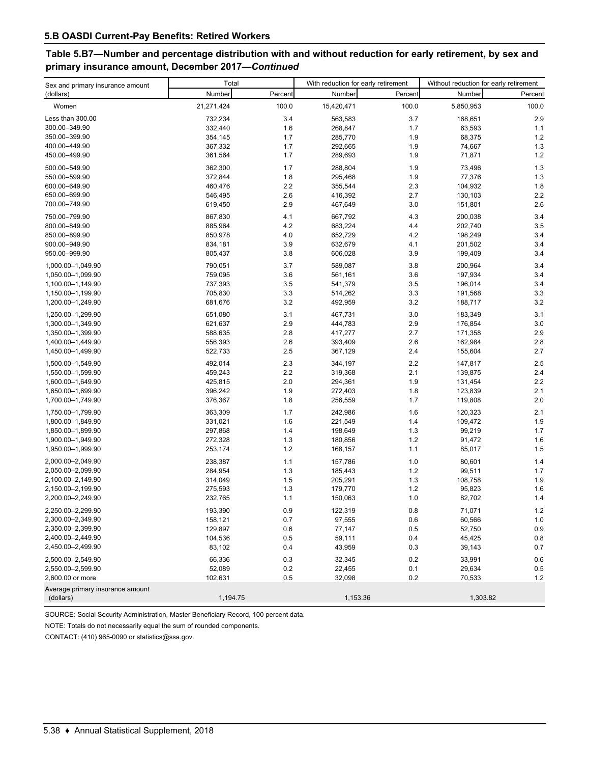# **Table 5.B7—Number and percentage distribution with and without reduction for early retirement, by sex and primary insurance amount, December 2017—***Continued*

| Sex and primary insurance amount              | Total      |         | With reduction for early retirement |         | Without reduction for early retirement |         |
|-----------------------------------------------|------------|---------|-------------------------------------|---------|----------------------------------------|---------|
| (dollars)                                     | Number     | Percent | Number                              | Percent | Number                                 | Percent |
| Women                                         | 21,271,424 | 100.0   | 15,420,471                          | 100.0   | 5,850,953                              | 100.0   |
| Less than 300.00                              | 732,234    | 3.4     | 563,583                             | 3.7     | 168,651                                | 2.9     |
| 300.00-349.90                                 | 332,440    | 1.6     | 268,847                             | 1.7     | 63,593                                 | 1.1     |
| 350.00-399.90                                 | 354,145    | 1.7     | 285,770                             | 1.9     | 68,375                                 | 1.2     |
| 400.00-449.90                                 | 367,332    | 1.7     | 292,665                             | 1.9     | 74,667                                 | 1.3     |
| 450.00-499.90                                 | 361,564    | 1.7     | 289,693                             | 1.9     | 71,871                                 | 1.2     |
| 500.00-549.90                                 |            |         |                                     |         |                                        |         |
|                                               | 362,300    | 1.7     | 288,804                             | 1.9     | 73,496                                 | 1.3     |
| 550.00-599.90                                 | 372,844    | 1.8     | 295,468                             | 1.9     | 77,376                                 | 1.3     |
| 600.00-649.90                                 | 460,476    | 2.2     | 355,544                             | 2.3     | 104,932                                | 1.8     |
| 650.00-699.90                                 | 546,495    | 2.6     | 416,392                             | 2.7     | 130,103                                | 2.2     |
| 700.00-749.90                                 | 619,450    | 2.9     | 467,649                             | 3.0     | 151,801                                | 2.6     |
| 750.00-799.90                                 | 867,830    | 4.1     | 667,792                             | 4.3     | 200,038                                | 3.4     |
| 800.00-849.90                                 | 885,964    | 4.2     | 683,224                             | 4.4     | 202,740                                | 3.5     |
| 850.00-899.90                                 | 850,978    | 4.0     | 652,729                             | 4.2     | 198,249                                | 3.4     |
| 900.00-949.90                                 | 834,181    | 3.9     | 632,679                             | 4.1     | 201,502                                | 3.4     |
| 950.00-999.90                                 | 805,437    | 3.8     | 606,028                             | 3.9     | 199,409                                | 3.4     |
| 1,000.00-1,049.90                             | 790,051    | 3.7     | 589,087                             | 3.8     | 200,964                                | 3.4     |
| 1,050.00-1,099.90                             | 759,095    | 3.6     | 561,161                             | 3.6     | 197,934                                | 3.4     |
| 1,100.00-1,149.90                             | 737,393    | 3.5     | 541,379                             | 3.5     | 196,014                                | 3.4     |
| 1,150.00-1,199.90                             | 705,830    | 3.3     | 514,262                             | 3.3     | 191,568                                | 3.3     |
| 1,200.00-1,249.90                             | 681,676    | 3.2     | 492,959                             | 3.2     | 188,717                                | 3.2     |
| 1,250.00-1,299.90                             | 651,080    | 3.1     | 467,731                             | 3.0     | 183,349                                | 3.1     |
| 1,300.00-1,349.90                             | 621,637    | 2.9     | 444,783                             | 2.9     | 176,854                                | 3.0     |
| 1,350.00-1,399.90                             | 588,635    | 2.8     | 417,277                             | 2.7     | 171,358                                | 2.9     |
| 1,400.00-1,449.90                             | 556,393    | 2.6     | 393,409                             | 2.6     | 162,984                                | 2.8     |
| 1,450.00-1,499.90                             | 522,733    | 2.5     | 367,129                             | 2.4     | 155,604                                | 2.7     |
| 1,500.00-1,549.90                             | 492,014    | 2.3     | 344,197                             | 2.2     | 147,817                                | 2.5     |
| 1,550.00-1,599.90                             | 459,243    | 2.2     | 319,368                             | 2.1     | 139,875                                | 2.4     |
| 1,600.00-1,649.90                             | 425,815    | 2.0     | 294,361                             | 1.9     | 131,454                                | 2.2     |
| 1,650.00-1,699.90                             | 396,242    | 1.9     | 272,403                             | 1.8     | 123,839                                | 2.1     |
| 1,700.00-1,749.90                             | 376,367    | 1.8     | 256,559                             | 1.7     | 119,808                                | 2.0     |
| 1,750.00-1,799.90                             | 363,309    | 1.7     | 242,986                             | 1.6     | 120,323                                | 2.1     |
| 1,800.00-1,849.90                             | 331,021    | 1.6     | 221,549                             | 1.4     | 109,472                                | 1.9     |
| 1,850.00-1,899.90                             | 297,868    | 1.4     | 198,649                             | 1.3     | 99,219                                 | 1.7     |
| 1,900.00-1,949.90                             | 272,328    | 1.3     | 180,856                             | 1.2     | 91,472                                 | 1.6     |
| 1,950.00-1,999.90                             | 253,174    | 1.2     | 168,157                             | 1.1     | 85,017                                 | 1.5     |
| 2,000.00-2,049.90                             | 238,387    | 1.1     | 157,786                             | 1.0     | 80,601                                 | 1.4     |
| 2,050.00-2,099.90                             | 284,954    | 1.3     | 185,443                             | 1.2     | 99,511                                 | 1.7     |
| 2,100.00-2,149.90                             | 314,049    | 1.5     | 205,291                             | 1.3     | 108,758                                | 1.9     |
| 2,150.00-2,199.90                             | 275,593    | 1.3     | 179,770                             | 1.2     | 95,823                                 | 1.6     |
| 2,200.00-2,249.90                             | 232,765    | 1.1     | 150,063                             | 1.0     | 82,702                                 | 1.4     |
| 2,250.00-2,299.90                             | 193,390    | 0.9     | 122,319                             | 0.8     | 71,071                                 | $1.2\,$ |
| 2,300.00-2,349.90                             | 158,121    | 0.7     | 97,555                              | 0.6     | 60,566                                 | $1.0$   |
| 2,350.00-2,399.90                             | 129,897    | 0.6     | 77,147                              | 0.5     | 52,750                                 | 0.9     |
| 2,400.00-2,449.90                             | 104,536    | 0.5     | 59,111                              | 0.4     | 45,425                                 | $0.8\,$ |
| 2,450.00-2,499.90                             | 83,102     | 0.4     | 43,959                              | 0.3     | 39,143                                 | 0.7     |
|                                               |            |         |                                     |         |                                        |         |
| 2,500.00-2,549.90                             | 66.336     | 0.3     | 32,345                              | 0.2     | 33,991                                 | 0.6     |
| 2,550.00-2,599.90                             | 52,089     | 0.2     | 22,455                              | 0.1     | 29,634                                 | 0.5     |
| 2,600.00 or more                              | 102,631    | 0.5     | 32,098                              | 0.2     | 70,533                                 | 1.2     |
| Average primary insurance amount<br>(dollars) | 1,194.75   |         | 1,153.36                            |         | 1,303.82                               |         |

SOURCE: Social Security Administration, Master Beneficiary Record, 100 percent data.

NOTE: Totals do not necessarily equal the sum of rounded components.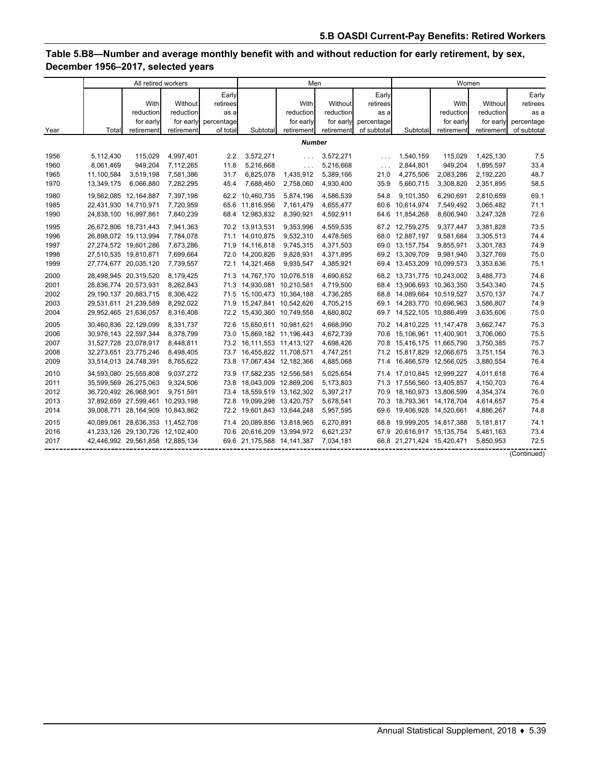# **Table 5.B8—Number and average monthly benefit with and without reduction for early retirement, by sex, December 1956–2017, selected years**

|      | All retired workers |                                  |            |            |                            | Men                   |            |             | Women                      |            |            |             |
|------|---------------------|----------------------------------|------------|------------|----------------------------|-----------------------|------------|-------------|----------------------------|------------|------------|-------------|
|      |                     |                                  |            | Early      |                            |                       |            | Early       |                            |            |            | Early       |
|      |                     | With                             | Without    | retirees   |                            | With                  | Without    | retirees    |                            | With       | Without    | retirees    |
|      |                     | reduction                        | reduction  | as a       |                            | reduction             | reduction  | as a        |                            | reduction  | reduction  | as a        |
|      |                     | for early                        | for early  | percentage |                            | for early             | for early  | percentage  |                            | for early  | for early  | percentage  |
| Year | Total               | retirement                       | retirement | of total   | Subtotal                   | retirement            | retirement | of subtotal | Subtotal                   | retirement | retirement | of subtotal |
|      | <b>Number</b>       |                                  |            |            |                            |                       |            |             |                            |            |            |             |
| 1956 | 5,112,430           | 115.029                          | 4,997,401  | 2.2        | 3,572,271                  | $\sim 10$ .           | 3,572,271  | $\sim$ .    | 1,540,159                  | 115,029    | 1,425,130  | 7.5         |
| 1960 | 8,061,469           | 949,204                          | 7,112,265  | 11.8       | 5,216,668                  | $\ldots$              | 5,216,668  | $\ldots$    | 2,844,801                  | 949,204    | 1,895,597  | 33.4        |
| 1965 | 11,100,584          | 3,519,198                        | 7,581,386  | 31.7       | 6,825,078                  | 1,435,912             | 5,389,166  | 21.0        | 4,275,506                  | 2,083,286  | 2,192,220  | 48.7        |
| 1970 | 13,349,175          | 6,066,880                        | 7,282,295  | 45.4       | 7,688,460                  | 2,758,060             | 4,930,400  | 35.9        | 5,660,715                  | 3,308,820  | 2,351,895  | 58.5        |
| 1980 |                     | 19,562,085 12,164,887            | 7,397,198  |            | 62.2 10,460,735            | 5,874,196             | 4,586,539  | 54.8        | 9,101,350                  | 6,290,691  | 2,810,659  | 69.1        |
| 1985 |                     | 22,431,930 14,710,971            | 7,720,959  |            | 65.6 11,816,956            | 7,161,479             | 4,655,477  |             | 60.6 10,614,974            | 7,549,492  | 3,065,482  | 71.1        |
| 1990 |                     | 24,838,100 16,997,861            | 7,840,239  |            | 68.4 12,983,832            | 8,390,921             | 4,592,911  |             | 64.6 11,854,268            | 8,606,940  | 3,247,328  | 72.6        |
| 1995 |                     | 26,672,806 18,731,443            | 7,941,363  |            | 70.2 13,913,531            | 9,353,996             | 4,559,535  |             | 67.2 12,759,275            | 9,377,447  | 3,381,828  | 73.5        |
| 1996 |                     | 26,898,072 19,113,994            | 7,784,078  |            | 71.1 14,010,875            | 9,532,310             | 4,478,565  |             | 68.0 12,887,197            | 9,581,684  | 3,305,513  | 74.4        |
| 1997 |                     | 27,274,572 19,601,286            | 7,673,286  |            | 71.9 14,116,818            | 9,745,315             | 4,371,503  |             | 69.0 13,157,754            | 9,855,971  | 3,301,783  | 74.9        |
| 1998 |                     | 27,510,535 19,810,871            | 7,699,664  |            | 72.0 14,200,826            | 9,828,931             | 4,371,895  |             | 69.2 13,309,709            | 9,981,940  | 3,327,769  | 75.0        |
| 1999 |                     | 27,774,677 20,035,120            | 7,739,557  |            | 72.1 14,321,468            | 9,935,547             | 4,385,921  |             | 69.4 13,453,209 10,099,573 |            | 3,353,636  | 75.1        |
| 2000 |                     | 28,498,945 20,319,520            | 8,179,425  |            | 71.3 14,767,170 10,076,518 |                       | 4,690,652  |             | 68.2 13,731,775 10,243,002 |            | 3,488,773  | 74.6        |
| 2001 |                     | 28,836,774 20,573,931            | 8.262.843  |            | 71.3 14,930,081 10,210,581 |                       | 4,719,500  |             | 68.4 13,906,693 10,363,350 |            | 3,543,340  | 74.5        |
| 2002 |                     | 29,190,137 20,883,715            | 8,306,422  |            | 71.5 15,100,473 10,364,188 |                       | 4,736,285  |             | 68.8 14,089,664 10,519,527 |            | 3,570,137  | 74.7        |
| 2003 |                     | 29,531,611 21,239,589            | 8,292,022  |            | 71.9 15,247,841 10,542,626 |                       | 4,705,215  |             | 69.1 14,283,770 10,696,963 |            | 3,586,807  | 74.9        |
| 2004 |                     | 29,952,465 21,636,057            | 8,316,408  |            | 72.2 15,430,360 10,749,558 |                       | 4,680,802  |             | 69.7 14,522,105 10,886,499 |            | 3,635,606  | 75.0        |
| 2005 |                     | 30,460,836 22,129,099            | 8,331,737  |            | 72.6 15.650.611 10.981.621 |                       | 4.668.990  |             | 70.2 14,810,225 11,147,478 |            | 3,662,747  | 75.3        |
| 2006 |                     | 30,976,143 22,597,344            | 8,378,799  |            | 73.0 15,869,182 11,196,443 |                       | 4,672,739  |             | 70.6 15,106,961 11,400,901 |            | 3,706,060  | 75.5        |
| 2007 |                     | 31,527,728 23,078,917            | 8,448,811  |            | 73.2 16,111,553 11,413,127 |                       | 4,698,426  |             | 70.8 15,416,175 11,665,790 |            | 3,750,385  | 75.7        |
| 2008 |                     | 32,273,651 23,775,246            | 8,498,405  |            | 73.7 16,455,822 11,708,571 |                       | 4,747,251  |             | 71.2 15,817,829 12,066,675 |            | 3,751,154  | 76.3        |
| 2009 |                     | 33,514,013 24,748,391            | 8,765,622  | 73.8       | 17,067,434 12,182,366      |                       | 4,885,068  |             | 71.4 16,466,579 12,566,025 |            | 3,880,554  | 76.4        |
| 2010 |                     | 34,593,080 25,555,808            | 9,037,272  |            | 73.9 17,582,235 12,556,581 |                       | 5,025,654  |             | 71.4 17,010,845 12,999,227 |            | 4,011,618  | 76.4        |
| 2011 |                     | 35,599,569 26,275,063            | 9,324,506  |            | 73.8 18,043,009 12,869,206 |                       | 5,173,803  |             | 71.3 17,556,560 13,405,857 |            | 4,150,703  | 76.4        |
| 2012 |                     | 36,720,492 26,968,901            | 9,751,591  |            | 73.4 18,559,519 13,162,302 |                       | 5,397,217  |             | 70.9 18,160,973 13,806,599 |            | 4,354,374  | 76.0        |
| 2013 |                     | 37,892,659 27,599,461            | 10,293,198 | 72.8       | 19,099,298 13,420,757      |                       | 5,678,541  |             | 70.3 18,793,361 14,178,704 |            | 4,614,657  | 75.4        |
| 2014 |                     | 39,008,771 28,164,909 10,843,862 |            |            | 72.2 19,601,843 13,644,248 |                       | 5,957,595  | 69.6        | 19,406,928 14,520,661      |            | 4,886,267  | 74.8        |
| 2015 |                     | 40,089,061 28,636,353 11,452,708 |            |            | 71.4 20,089,856 13,818,965 |                       | 6,270,891  |             | 68.8 19,999,205 14,817,388 |            | 5,181,817  | 74.1        |
| 2016 |                     | 41,233,126 29,130,726 12,102,400 |            | 70.6       |                            | 20,616,209 13,994,972 | 6,621,237  | 67.9        | 20,616,917 15,135,754      |            | 5,481,163  | 73.4        |
| 2017 |                     | 42,446,992 29,561,858 12,885,134 |            |            | 69.6 21,175,568 14,141,387 |                       | 7,034,181  |             | 66.8 21,271,424 15,420,471 |            | 5,850,953  | 72.5        |
|      |                     |                                  |            |            |                            |                       |            |             |                            |            |            | (Continued) |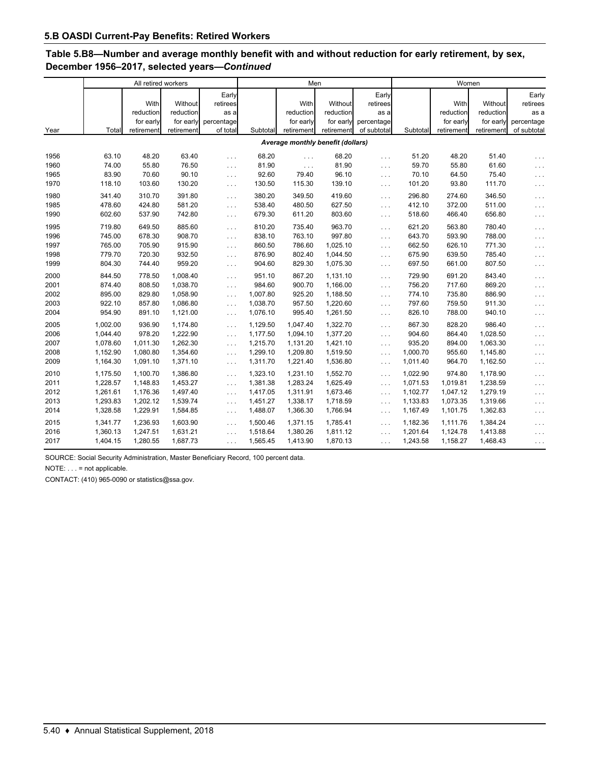# **Table 5.B8—Number and average monthly benefit with and without reduction for early retirement, by sex, December 1956–2017, selected years—***Continued*

|      | All retired workers               |            |            |                      |          | Men        |            |                      | Women    |            |            |                      |
|------|-----------------------------------|------------|------------|----------------------|----------|------------|------------|----------------------|----------|------------|------------|----------------------|
|      |                                   |            |            | Early                |          |            |            | Early                |          |            |            | Early                |
|      |                                   | With       | Without    | retirees             |          | With       | Without    | retirees             |          | With       | Without    | retirees             |
|      |                                   | reduction  | reduction  | as a                 |          | reduction  | reduction  | as a                 |          | reduction  | reduction  | as a                 |
|      |                                   | for early  | for early  | percentage           |          | for early  | for early  | percentage           |          | for early  | for early  | percentage           |
| Year | Total                             | retirement | retirement | of total             | Subtotal | retirement | retirement | of subtotal          | Subtotal | retirement | retirement | of subtotal          |
|      | Average monthly benefit (dollars) |            |            |                      |          |            |            |                      |          |            |            |                      |
| 1956 | 63.10                             | 48.20      | 63.40      | $\sim 100$           | 68.20    | $\ldots$   | 68.20      | $\ldots$             | 51.20    | 48.20      | 51.40      | $\ldots$             |
| 1960 | 74.00                             | 55.80      | 76.50      | $\sim$ $\sim$ $\sim$ | 81.90    | $\cdots$   | 81.90      | $\ldots$             | 59.70    | 55.80      | 61.60      | $\ldots$             |
| 1965 | 83.90                             | 70.60      | 90.10      | $\ldots$             | 92.60    | 79.40      | 96.10      | $\ldots$             | 70.10    | 64.50      | 75.40      | $\cdots$             |
| 1970 | 118.10                            | 103.60     | 130.20     | $\sim 10$ .          | 130.50   | 115.30     | 139.10     | $\cdots$             | 101.20   | 93.80      | 111.70     | $\mathbf{1}$         |
| 1980 | 341.40                            | 310.70     | 391.80     | $\sim 10$            | 380.20   | 349.50     | 419.60     | $\cdots$             | 296.80   | 274.60     | 346.50     | $\ldots$             |
| 1985 | 478.60                            | 424.80     | 581.20     | $\sim$ $\sim$ $\sim$ | 538.40   | 480.50     | 627.50     | $\cdots$             | 412.10   | 372.00     | 511.00     | $\ldots$             |
| 1990 | 602.60                            | 537.90     | 742.80     | $\sim 100$           | 679.30   | 611.20     | 803.60     | $\cdots$             | 518.60   | 466.40     | 656.80     | $\sim$ $\sim$ $\sim$ |
| 1995 | 719.80                            | 649.50     | 885.60     | $\sim 10$            | 810.20   | 735.40     | 963.70     | $\cdots$             | 621.20   | 563.80     | 780.40     | $\sim$ $\sim$ $\sim$ |
| 1996 | 745.00                            | 678.30     | 908.70     | $\sim$ $\sim$ $\sim$ | 838.10   | 763.10     | 997.80     | $\cdots$             | 643.70   | 593.90     | 788.00     | $\ldots$             |
| 1997 | 765.00                            | 705.90     | 915.90     | $\sim 100$           | 860.50   | 786.60     | 1,025.10   | $\cdots$             | 662.50   | 626.10     | 771.30     | $\ldots$             |
| 1998 | 779.70                            | 720.30     | 932.50     | $\sim$ $\sim$ $\sim$ | 876.90   | 802.40     | 1,044.50   | $\cdots$             | 675.90   | 639.50     | 785.40     | $\ldots$             |
| 1999 | 804.30                            | 744.40     | 959.20     | $\sim$ $\sim$ $\sim$ | 904.60   | 829.30     | 1,075.30   | $\sim$ $\sim$ $\sim$ | 697.50   | 661.00     | 807.50     | $\ldots$             |
| 2000 | 844.50                            | 778.50     | 1,008.40   | $\sim 10$            | 951.10   | 867.20     | 1,131.10   | $\ldots$             | 729.90   | 691.20     | 843.40     | $\ldots$             |
| 2001 | 874.40                            | 808.50     | 1.038.70   | $\ldots$             | 984.60   | 900.70     | 1.166.00   | $\cdots$             | 756.20   | 717.60     | 869.20     | $\ldots$             |
| 2002 | 895.00                            | 829.80     | 1,058.90   | $\ldots$             | 1,007.80 | 925.20     | 1,188.50   | $\cdots$             | 774.10   | 735.80     | 886.90     | $\ldots$             |
| 2003 | 922.10                            | 857.80     | 1,086.80   | $\sim$ $\sim$ $\sim$ | 1,038.70 | 957.50     | 1,220.60   | $\cdots$             | 797.60   | 759.50     | 911.30     | $\sim$ $\sim$ $\sim$ |
| 2004 | 954.90                            | 891.10     | 1,121.00   | $\ldots$             | 1,076.10 | 995.40     | 1,261.50   | $\ldots$             | 826.10   | 788.00     | 940.10     | $\sim$ $\sim$ $\sim$ |
| 2005 | 1,002.00                          | 936.90     | 1,174.80   | $\sim$ .             | 1,129.50 | 1,047.40   | 1,322.70   | $\cdots$             | 867.30   | 828.20     | 986.40     | $\ldots$             |
| 2006 | 1.044.40                          | 978.20     | 1.222.90   | $\sim 10$ .          | 1,177.50 | 1.094.10   | 1,377.20   | $\ldots$             | 904.60   | 864.40     | 1,028.50   | $\sim$ $\sim$ $\sim$ |
| 2007 | 1,078.60                          | 1,011.30   | 1,262.30   | $\ldots$             | 1,215.70 | 1,131.20   | 1,421.10   | $\sim$ $\sim$ $\sim$ | 935.20   | 894.00     | 1,063.30   | $\ldots$             |
| 2008 | 1,152.90                          | 1,080.80   | 1,354.60   | $\ldots$             | 1,299.10 | 1,209.80   | 1,519.50   | $\sim$ $\sim$ $\sim$ | 1,000.70 | 955.60     | 1,145.80   | $\sim$ $\sim$ $\sim$ |
| 2009 | 1,164.30                          | 1,091.10   | 1,371.10   | $\ldots$             | 1,311.70 | 1,221.40   | 1,536.80   | $\cdots$             | 1,011.40 | 964.70     | 1,162.50   | $\cdots$             |
| 2010 | 1,175.50                          | 1.100.70   | 1,386.80   | $\sim 10$            | 1,323.10 | 1,231.10   | 1,552.70   | $\cdots$             | 1.022.90 | 974.80     | 1,178.90   | $\cdots$             |
| 2011 | 1,228.57                          | 1,148.83   | 1,453.27   | $\sim 10$            | 1,381.38 | 1,283.24   | 1,625.49   | $\cdots$             | 1,071.53 | 1,019.81   | 1,238.59   | $\cdots$             |
| 2012 | 1,261.61                          | 1,176.36   | 1,497.40   | $\sim$ $\sim$ $\sim$ | 1,417.05 | 1,311.91   | 1,673.46   | $\cdots$             | 1,102.77 | 1,047.12   | 1,279.19   | $\ldots$             |
| 2013 | 1,293.83                          | 1,202.12   | 1,539.74   | $\sim$ $\sim$ $\sim$ | 1,451.27 | 1,338.17   | 1,718.59   | $\cdots$             | 1,133.83 | 1,073.35   | 1,319.66   | $\ldots$             |
| 2014 | 1,328.58                          | 1,229.91   | 1,584.85   | $\sim$ $\sim$ $\sim$ | 1,488.07 | 1,366.30   | 1,766.94   | $\cdots$             | 1,167.49 | 1,101.75   | 1,362.83   | $\sim$ $\sim$ $\sim$ |
| 2015 | 1,341.77                          | 1,236.93   | 1,603.90   | $\sim$ $\sim$ $\sim$ | 1,500.46 | 1,371.15   | 1,785.41   | $\cdots$             | 1,182.36 | 1,111.76   | 1,384.24   | $\ldots$             |
| 2016 | 1,360.13                          | 1,247.51   | 1,631.21   | $\cdots$             | 1,518.64 | 1,380.26   | 1,811.12   | $\cdots$             | 1,201.64 | 1,124.78   | 1,413.88   | $\ldots$             |
| 2017 | 1,404.15                          | 1,280.55   | 1,687.73   | $\cdots$             | 1,565.45 | 1,413.90   | 1,870.13   | $\cdots$             | 1,243.58 | 1,158.27   | 1,468.43   | $\cdots$             |

SOURCE: Social Security Administration, Master Beneficiary Record, 100 percent data.

NOTE: . . . = not applicable.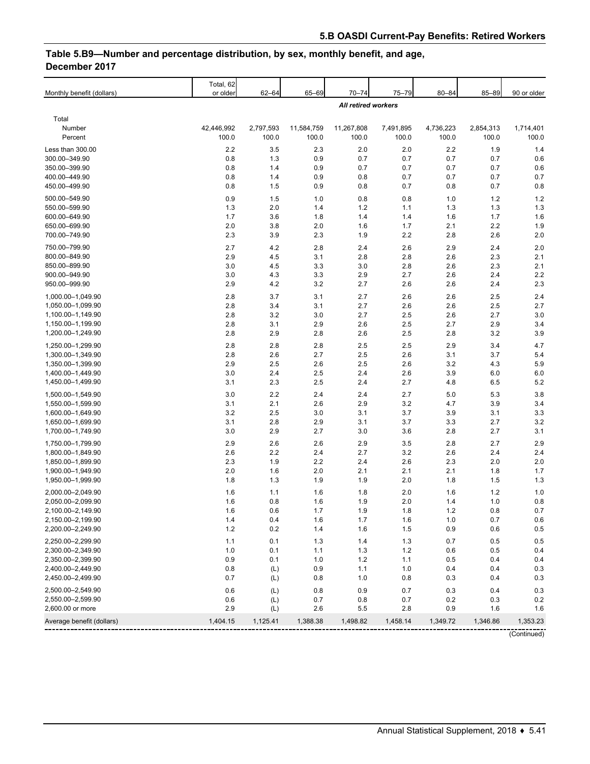# **Table 5.B9—Number and percentage distribution, by sex, monthly benefit, and age, December 2017**

| Monthly benefit (dollars)              | Total, 62<br>or older | $62 - 64$          | 65-69               | $70 - 74$           | 75-79              | $80 - 84$          | 85-89              | 90 or older        |
|----------------------------------------|-----------------------|--------------------|---------------------|---------------------|--------------------|--------------------|--------------------|--------------------|
|                                        |                       |                    |                     | All retired workers |                    |                    |                    |                    |
| Total                                  |                       |                    |                     |                     |                    |                    |                    |                    |
| Number<br>Percent                      | 42,446,992<br>100.0   | 2,797,593<br>100.0 | 11,584,759<br>100.0 | 11,267,808<br>100.0 | 7,491,895<br>100.0 | 4,736,223<br>100.0 | 2,854,313<br>100.0 | 1,714,401<br>100.0 |
| Less than 300.00                       | 2.2                   | 3.5                | 2.3                 | 2.0                 | 2.0                | 2.2                | 1.9                | 1.4                |
| 300.00-349.90                          | 0.8                   | 1.3                | 0.9                 | 0.7                 | 0.7                | 0.7                | 0.7                | 0.6                |
| 350.00-399.90                          | 0.8                   | 1.4                | 0.9                 | 0.7                 | 0.7                | 0.7                | 0.7                | 0.6                |
| 400.00-449.90                          | 0.8                   | 1.4                | 0.9                 | 0.8                 | 0.7                | 0.7                | 0.7                | 0.7                |
| 450.00-499.90                          | 0.8                   | 1.5                | 0.9                 | 0.8                 | 0.7                | 0.8                | 0.7                | 0.8                |
| 500.00-549.90                          | 0.9                   | 1.5                | 1.0                 | 0.8                 | 0.8                | 1.0                | 1.2                | 1.2                |
| 550.00-599.90<br>600.00-649.90         | 1.3<br>1.7            | 2.0<br>3.6         | 1.4<br>1.8          | 1.2<br>1.4          | 1.1<br>1.4         | 1.3<br>1.6         | 1.3<br>1.7         | 1.3<br>1.6         |
| 650.00-699.90                          | 2.0                   | 3.8                | 2.0                 | 1.6                 | 1.7                | 2.1                | 2.2                | 1.9                |
| 700.00-749.90                          | 2.3                   | 3.9                | 2.3                 | 1.9                 | 2.2                | 2.8                | 2.6                | 2.0                |
| 750.00-799.90                          | 2.7                   | 4.2                | 2.8                 | 2.4                 | 2.6                | 2.9                | 2.4                | 2.0                |
| 800.00-849.90                          | 2.9                   | 4.5                | 3.1                 | 2.8                 | 2.8                | 2.6                | 2.3                | 2.1                |
| 850.00-899.90                          | 3.0                   | 4.5                | 3.3                 | 3.0                 | 2.8                | 2.6                | 2.3                | 2.1                |
| 900.00-949.90                          | 3.0                   | 4.3                | 3.3                 | 2.9                 | 2.7                | 2.6                | 2.4                | 2.2                |
| 950.00-999.90                          | 2.9                   | 4.2                | 3.2                 | 2.7                 | 2.6                | 2.6                | 2.4                | 2.3                |
| 1,000.00-1,049.90                      | 2.8                   | 3.7                | 3.1                 | 2.7                 | 2.6                | 2.6                | 2.5                | 2.4                |
| 1,050.00-1,099.90                      | 2.8                   | 3.4                | 3.1                 | 2.7                 | 2.6                | 2.6                | 2.5                | 2.7                |
| 1,100.00-1,149.90<br>1,150.00-1,199.90 | 2.8<br>2.8            | 3.2<br>3.1         | 3.0<br>2.9          | 2.7<br>2.6          | 2.5<br>2.5         | 2.6<br>2.7         | 2.7<br>2.9         | 3.0<br>3.4         |
| 1,200.00-1,249.90                      | 2.8                   | 2.9                | 2.8                 | 2.6                 | 2.5                | 2.8                | 3.2                | 3.9                |
| 1.250.00-1.299.90                      | 2.8                   | 2.8                | 2.8                 | 2.5                 | 2.5                | 2.9                | 3.4                | 4.7                |
| 1,300.00-1,349.90                      | 2.8                   | 2.6                | 2.7                 | 2.5                 | 2.6                | 3.1                | 3.7                | 5.4                |
| 1,350.00-1,399.90                      | 2.9                   | 2.5                | 2.6                 | 2.5                 | 2.6                | 3.2                | 4.3                | 5.9                |
| 1,400.00-1,449.90                      | 3.0                   | 2.4                | 2.5                 | 2.4                 | 2.6                | 3.9                | 6.0                | 6.0                |
| 1,450.00-1,499.90                      | 3.1                   | 2.3                | 2.5                 | 2.4                 | 2.7                | 4.8                | 6.5                | 5.2                |
| 1,500.00-1,549.90                      | 3.0                   | 2.2                | 2.4                 | 2.4                 | 2.7                | 5.0                | 5.3                | 3.8                |
| 1,550.00-1,599.90                      | 3.1                   | 2.1                | 2.6                 | 2.9                 | 3.2                | 4.7                | 3.9                | 3.4                |
| 1,600.00-1,649.90                      | 3.2                   | 2.5                | 3.0                 | 3.1                 | 3.7                | 3.9                | 3.1                | 3.3                |
| 1,650.00-1,699.90                      | 3.1                   | 2.8                | 2.9                 | 3.1                 | 3.7                | 3.3                | 2.7                | 3.2                |
| 1,700.00-1,749.90                      | 3.0                   | 2.9                | 2.7                 | 3.0                 | 3.6                | 2.8                | 2.7                | 3.1                |
| 1,750.00-1,799.90                      | 2.9                   | 2.6                | 2.6                 | 2.9                 | 3.5                | 2.8                | 2.7                | 2.9                |
| 1,800.00-1,849.90<br>1,850.00-1,899.90 | 2.6<br>2.3            | 2.2<br>1.9         | 2.4<br>2.2          | 2.7<br>2.4          | 3.2<br>2.6         | 2.6<br>2.3         | 2.4<br>2.0         | 2.4<br>2.0         |
| 1,900.00-1,949.90                      | 2.0                   | 1.6                | 2.0                 | 2.1                 | 2.1                | 2.1                | 1.8                | 1.7                |
| 1,950.00-1,999.90                      | 1.8                   | 1.3                | 1.9                 | 1.9                 | 2.0                | 1.8                | 1.5                | 1.3                |
| 2,000.00-2,049.90                      | 1.6                   | 1.1                | 1.6                 | 1.8                 | 2.0                | 1.6                | 1.2                | 1.0                |
| 2,050.00-2,099.90                      | 1.6                   | 0.8                | 1.6                 | 1.9                 | 2.0                | 1.4                | 1.0                | 0.8                |
| 2,100.00-2,149.90                      | 1.6                   | 0.6                | 1.7                 | 1.9                 | 1.8                | 1.2                | 0.8                | 0.7                |
| 2,150.00-2,199.90                      | 1.4                   | 0.4                | 1.6                 | 1.7                 | 1.6                | 1.0                | 0.7                | 0.6                |
| 2,200.00-2,249.90                      | 1.2                   | 0.2                | 1.4                 | 1.6                 | 1.5                | 0.9                | 0.6                | 0.5                |
| 2,250.00-2,299.90                      | 1.1                   | 0.1                | 1.3                 | 1.4                 | $1.3$              | 0.7                | 0.5                | 0.5                |
| 2,300.00-2,349.90                      | 1.0                   | 0.1                | 1.1                 | 1.3                 | 1.2                | 0.6                | 0.5                | 0.4                |
| 2,350.00-2,399.90<br>2,400.00-2,449.90 | 0.9<br>0.8            | 0.1                | 1.0                 | $1.2$<br>1.1        | 1.1<br>1.0         | 0.5                | 0.4                | 0.4<br>0.3         |
| 2,450.00-2,499.90                      | 0.7                   | (L)<br>(L)         | 0.9<br>0.8          | 1.0                 | 0.8                | 0.4<br>0.3         | 0.4<br>0.4         | 0.3                |
| 2,500.00-2,549.90                      | 0.6                   | (L)                | 0.8                 | 0.9                 | 0.7                | 0.3                | 0.4                | 0.3                |
| 2,550.00-2,599.90                      | 0.6                   | (L)                | 0.7                 | 0.8                 | 0.7                | 0.2                | 0.3                | 0.2                |
| 2,600.00 or more                       | 2.9                   | (L)                | 2.6                 | 5.5                 | 2.8                | 0.9                | 1.6                | 1.6                |
| Average benefit (dollars)              | 1,404.15              | 1,125.41           | 1,388.38            | 1,498.82            | 1,458.14           | 1,349.72           | 1,346.86           | 1,353.23           |
|                                        |                       |                    |                     |                     |                    |                    |                    | (Continued)        |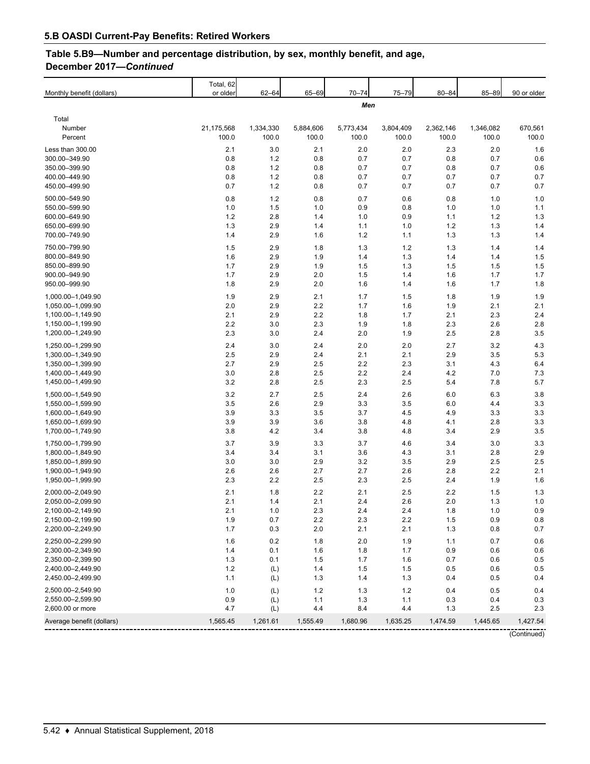# **Table 5.B9—Number and percentage distribution, by sex, monthly benefit, and age, December 2017—***Continued*

| Monthly benefit (dollars)              | Total, 62<br>or older | $62 - 64$          | 65-69              | $70 - 74$          | $75 - 79$          | $80 - 84$          | 85-89              | 90 or older      |
|----------------------------------------|-----------------------|--------------------|--------------------|--------------------|--------------------|--------------------|--------------------|------------------|
|                                        |                       |                    |                    | Men                |                    |                    |                    |                  |
| Total                                  |                       |                    |                    |                    |                    |                    |                    |                  |
| Number<br>Percent                      | 21,175,568<br>100.0   | 1,334,330<br>100.0 | 5,884,606<br>100.0 | 5,773,434<br>100.0 | 3,804,409<br>100.0 | 2,362,146<br>100.0 | 1,346,082<br>100.0 | 670,561<br>100.0 |
| Less than 300.00                       | 2.1                   | 3.0                | 2.1                | 2.0                | 2.0                | 2.3                | 2.0                | 1.6              |
| 300.00-349.90                          | 0.8                   | 1.2                | 0.8                | 0.7                | 0.7                | 0.8                | 0.7                | 0.6              |
| 350.00-399.90<br>400.00-449.90         | 0.8<br>0.8            | 1.2<br>1.2         | 0.8<br>0.8         | 0.7<br>0.7         | 0.7<br>0.7         | 0.8<br>0.7         | 0.7<br>0.7         | 0.6<br>0.7       |
| 450.00-499.90                          | 0.7                   | 1.2                | 0.8                | 0.7                | 0.7                | 0.7                | 0.7                | 0.7              |
| 500.00-549.90                          | 0.8                   | 1.2                | 0.8                | 0.7                | 0.6                | 0.8                | 1.0                | 1.0              |
| 550.00-599.90                          | 1.0                   | 1.5                | 1.0                | 0.9                | 0.8                | 1.0                | 1.0                | 1.1              |
| 600.00-649.90                          | 1.2                   | 2.8                | 1.4                | 1.0                | 0.9                | 1.1                | 1.2                | 1.3              |
| 650.00-699.90                          | 1.3                   | 2.9                | 1.4                | 1.1                | 1.0                | 1.2                | 1.3                | 1.4              |
| 700.00-749.90                          | 1.4                   | 2.9                | 1.6                | 1.2                | 1.1                | 1.3                | 1.3                | 1.4              |
| 750.00-799.90<br>800.00-849.90         | 1.5                   | 2.9                | 1.8                | 1.3                | 1.2                | 1.3                | 1.4                | 1.4              |
| 850.00-899.90                          | 1.6<br>1.7            | 2.9<br>2.9         | 1.9<br>1.9         | 1.4<br>1.5         | 1.3<br>1.3         | 1.4<br>1.5         | 1.4<br>1.5         | 1.5<br>1.5       |
| 900.00-949.90                          | 1.7                   | 2.9                | 2.0                | 1.5                | 1.4                | 1.6                | 1.7                | 1.7              |
| 950.00-999.90                          | 1.8                   | 2.9                | 2.0                | 1.6                | 1.4                | 1.6                | 1.7                | 1.8              |
| 1,000.00-1,049.90                      | 1.9                   | 2.9                | 2.1                | 1.7                | 1.5                | 1.8                | 1.9                | 1.9              |
| 1,050.00-1,099.90                      | 2.0                   | 2.9                | 2.2                | 1.7                | 1.6                | 1.9                | 2.1                | 2.1              |
| 1,100.00-1,149.90                      | 2.1                   | 2.9                | 2.2                | 1.8                | 1.7                | 2.1                | 2.3                | 2.4              |
| 1,150.00-1,199.90                      | 2.2                   | 3.0                | 2.3                | 1.9                | 1.8                | 2.3                | 2.6                | 2.8              |
| 1,200.00-1,249.90                      | 2.3                   | 3.0                | 2.4                | 2.0                | 1.9                | 2.5                | 2.8                | 3.5              |
| 1.250.00-1.299.90<br>1,300.00-1,349.90 | 2.4                   | 3.0                | 2.4                | 2.0                | 2.0                | 2.7                | 3.2                | 4.3              |
| 1,350.00-1,399.90                      | 2.5<br>2.7            | 2.9<br>2.9         | 2.4<br>2.5         | 2.1<br>2.2         | 2.1<br>2.3         | 2.9<br>3.1         | 3.5<br>4.3         | 5.3<br>6.4       |
| 1,400.00-1,449.90                      | 3.0                   | 2.8                | 2.5                | 2.2                | 2.4                | 4.2                | 7.0                | 7.3              |
| 1,450.00-1,499.90                      | 3.2                   | 2.8                | 2.5                | 2.3                | 2.5                | 5.4                | 7.8                | 5.7              |
| 1,500.00-1,549.90                      | 3.2                   | 2.7                | 2.5                | 2.4                | 2.6                | 6.0                | 6.3                | 3.8              |
| 1,550.00-1,599.90                      | 3.5                   | 2.6                | 2.9                | 3.3                | 3.5                | 6.0                | 4.4                | 3.3              |
| 1,600.00-1,649.90                      | 3.9                   | 3.3                | 3.5                | 3.7                | 4.5                | 4.9                | 3.3                | 3.3              |
| 1,650.00-1,699.90                      | 3.9                   | 3.9                | 3.6                | 3.8                | 4.8                | 4.1                | 2.8                | 3.3              |
| 1,700.00-1,749.90                      | 3.8                   | 4.2                | 3.4                | 3.8                | 4.8                | 3.4                | 2.9                | 3.5              |
| 1,750.00-1,799.90                      | 3.7                   | 3.9                | 3.3                | 3.7                | 4.6                | 3.4                | 3.0                | 3.3<br>2.9       |
| 1,800.00-1,849.90<br>1,850.00-1,899.90 | 3.4<br>3.0            | 3.4<br>3.0         | 3.1<br>2.9         | 3.6<br>3.2         | 4.3<br>3.5         | 3.1<br>2.9         | 2.8<br>2.5         | 2.5              |
| 1,900.00-1,949.90                      | 2.6                   | 2.6                | 2.7                | 2.7                | 2.6                | 2.8                | 2.2                | 2.1              |
| 1,950.00-1,999.90                      | 2.3                   | 2.2                | 2.5                | 2.3                | 2.5                | 2.4                | 1.9                | 1.6              |
| 2,000.00-2,049.90                      | 2.1                   | 1.8                | 2.2                | 2.1                | 2.5                | 2.2                | 1.5                | 1.3              |
| 2,050.00-2,099.90                      | 2.1                   | 1.4                | 2.1                | 2.4                | 2.6                | 2.0                | 1.3                | 1.0              |
| 2,100.00-2,149.90                      | 2.1                   | 1.0                | 2.3                | 2.4                | 2.4                | 1.8                | 1.0                | 0.9              |
| 2,150.00-2,199.90<br>2,200.00-2,249.90 | 1.9<br>1.7            | 0.7<br>0.3         | 2.2<br>2.0         | 2.3<br>2.1         | 2.2<br>2.1         | 1.5<br>1.3         | 0.9<br>0.8         | 0.8<br>0.7       |
|                                        |                       |                    |                    |                    |                    |                    |                    |                  |
| 2,250.00-2,299.90<br>2,300.00-2,349.90 | 1.6<br>1.4            | 0.2<br>0.1         | 1.8<br>1.6         | 2.0<br>1.8         | 1.9<br>1.7         | 1.1<br>0.9         | 0.7<br>0.6         | 0.6<br>0.6       |
| 2,350.00-2,399.90                      | 1.3                   | 0.1                | 1.5                | 1.7                | 1.6                | 0.7                | 0.6                | 0.5              |
| 2,400.00-2,449.90                      | $1.2\,$               | (L)                | 1.4                | 1.5                | 1.5                | 0.5                | 0.6                | 0.5              |
| 2,450.00-2,499.90                      | 1.1                   | (L)                | 1.3                | 1.4                | 1.3                | 0.4                | 0.5                | 0.4              |
| 2,500.00-2,549.90                      | 1.0                   | (L)                | 1.2                | 1.3                | 1.2                | 0.4                | 0.5                | 0.4              |
| 2,550.00-2,599.90                      | 0.9                   | (L)                | 1.1                | 1.3                | 1.1                | 0.3                | 0.4                | 0.3              |
| 2,600.00 or more                       | 4.7                   | (L)                | 4.4                | 8.4                | 4.4                | 1.3                | 2.5                | 2.3              |
| Average benefit (dollars)              | 1,565.45              | 1,261.61           | 1,555.49           | 1,680.96           | 1,635.25           | 1,474.59           | 1,445.65           | 1,427.54         |
|                                        |                       |                    |                    |                    |                    |                    |                    | (Continued)      |